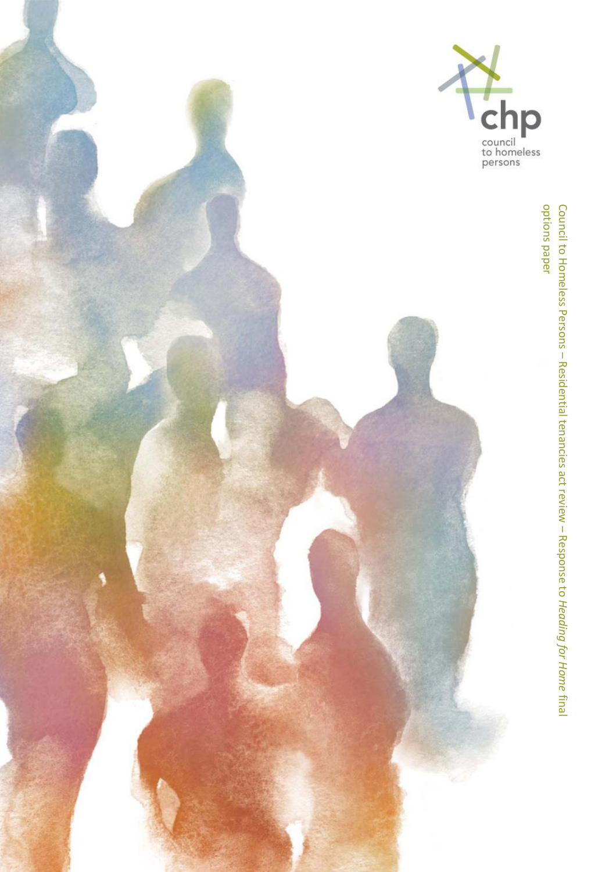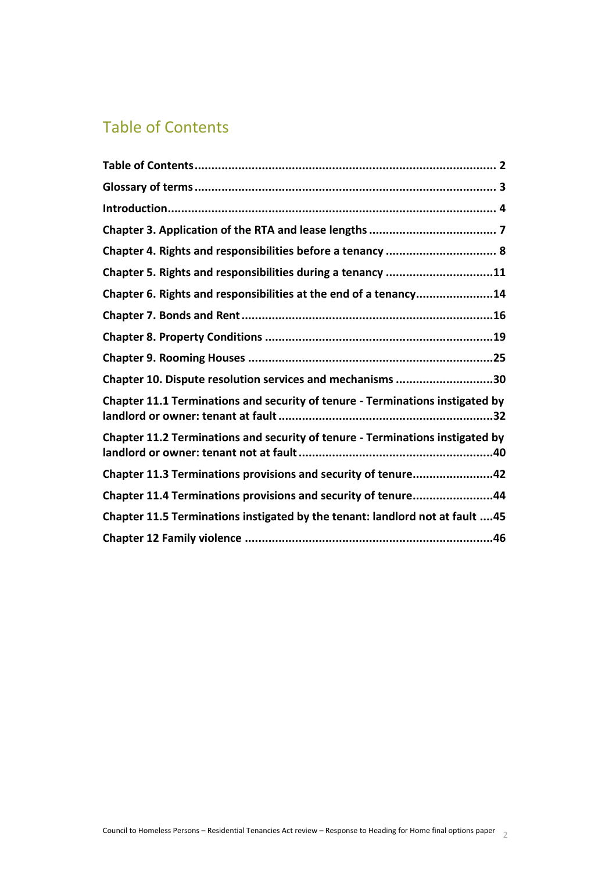# <span id="page-1-0"></span>Table of Contents

| Chapter 5. Rights and responsibilities during a tenancy 11                    |
|-------------------------------------------------------------------------------|
| Chapter 6. Rights and responsibilities at the end of a tenancy14              |
|                                                                               |
|                                                                               |
|                                                                               |
| Chapter 10. Dispute resolution services and mechanisms 30                     |
| Chapter 11.1 Terminations and security of tenure - Terminations instigated by |
| Chapter 11.2 Terminations and security of tenure - Terminations instigated by |
| Chapter 11.3 Terminations provisions and security of tenure42                 |
| Chapter 11.4 Terminations provisions and security of tenure44                 |
| Chapter 11.5 Terminations instigated by the tenant: landlord not at fault 45  |
|                                                                               |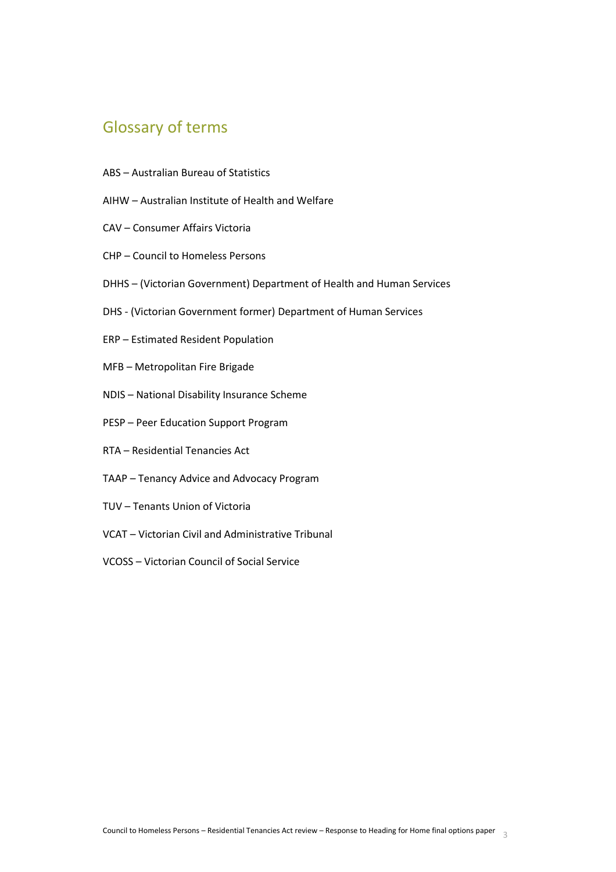# <span id="page-2-0"></span>Glossary of terms

- ABS Australian Bureau of Statistics
- AIHW Australian Institute of Health and Welfare
- CAV Consumer Affairs Victoria
- CHP Council to Homeless Persons
- DHHS (Victorian Government) Department of Health and Human Services
- DHS (Victorian Government former) Department of Human Services
- ERP Estimated Resident Population
- MFB Metropolitan Fire Brigade
- NDIS National Disability Insurance Scheme
- PESP Peer Education Support Program
- RTA Residential Tenancies Act
- TAAP Tenancy Advice and Advocacy Program
- TUV Tenants Union of Victoria
- VCAT Victorian Civil and Administrative Tribunal
- VCOSS Victorian Council of Social Service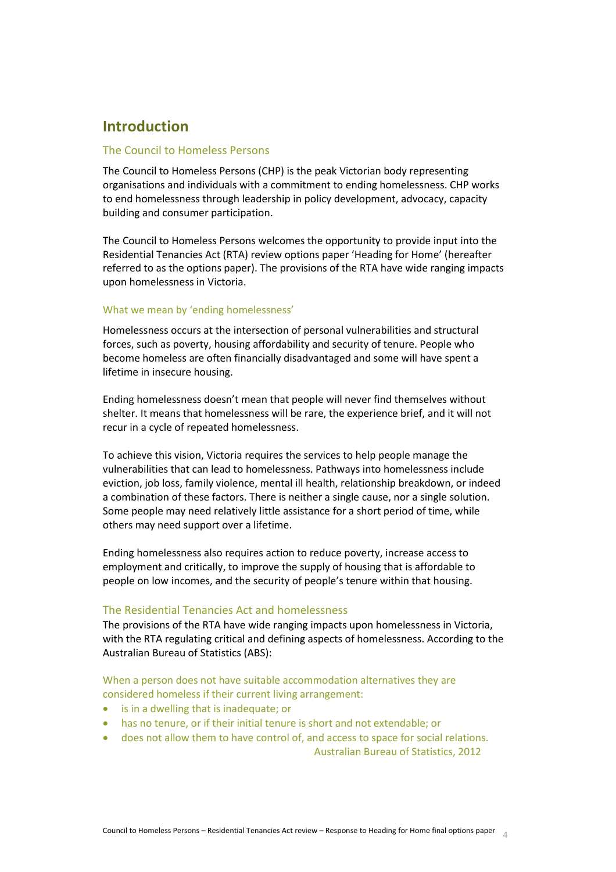# <span id="page-3-0"></span>**Introduction**

# The Council to Homeless Persons

The Council to Homeless Persons (CHP) is the peak Victorian body representing organisations and individuals with a commitment to ending homelessness. CHP works to end homelessness through leadership in policy development, advocacy, capacity building and consumer participation.

The Council to Homeless Persons welcomes the opportunity to provide input into the Residential Tenancies Act (RTA) review options paper 'Heading for Home' (hereafter referred to as the options paper). The provisions of the RTA have wide ranging impacts upon homelessness in Victoria.

## What we mean by 'ending homelessness'

Homelessness occurs at the intersection of personal vulnerabilities and structural forces, such as poverty, housing affordability and security of tenure. People who become homeless are often financially disadvantaged and some will have spent a lifetime in insecure housing.

Ending homelessness doesn't mean that people will never find themselves without shelter. It means that homelessness will be rare, the experience brief, and it will not recur in a cycle of repeated homelessness.

To achieve this vision, Victoria requires the services to help people manage the vulnerabilities that can lead to homelessness. Pathways into homelessness include eviction, job loss, family violence, mental ill health, relationship breakdown, or indeed a combination of these factors. There is neither a single cause, nor a single solution. Some people may need relatively little assistance for a short period of time, while others may need support over a lifetime.

Ending homelessness also requires action to reduce poverty, increase access to employment and critically, to improve the supply of housing that is affordable to people on low incomes, and the security of people's tenure within that housing.

# The Residential Tenancies Act and homelessness

The provisions of the RTA have wide ranging impacts upon homelessness in Victoria, with the RTA regulating critical and defining aspects of homelessness. According to the Australian Bureau of Statistics (ABS):

When a person does not have suitable accommodation alternatives they are considered homeless if their current living arrangement:

- is in a dwelling that is inadequate; or
- has no tenure, or if their initial tenure is short and not extendable; or
- does not allow them to have control of, and access to space for social relations. Australian Bureau of Statistics, 2012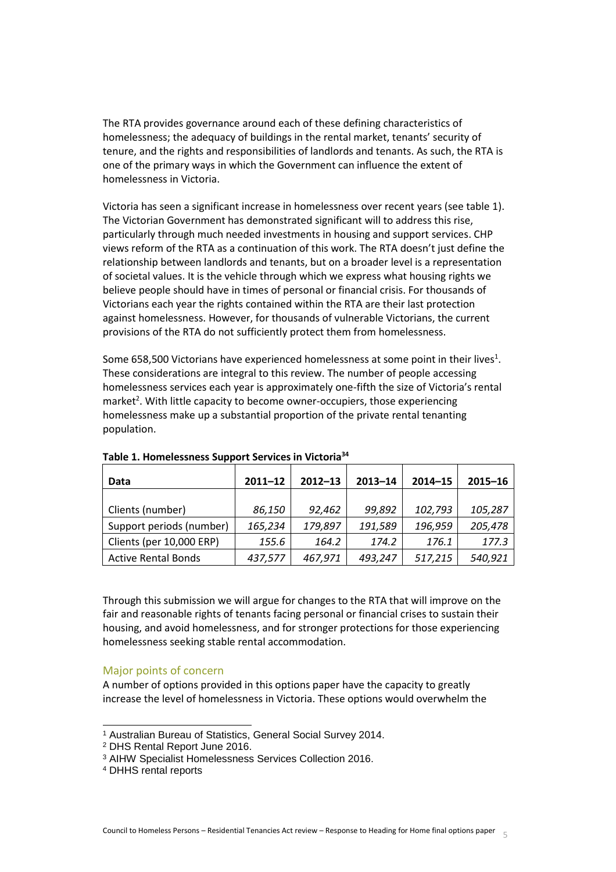The RTA provides governance around each of these defining characteristics of homelessness; the adequacy of buildings in the rental market, tenants' security of tenure, and the rights and responsibilities of landlords and tenants. As such, the RTA is one of the primary ways in which the Government can influence the extent of homelessness in Victoria.

Victoria has seen a significant increase in homelessness over recent years (see table 1). The Victorian Government has demonstrated significant will to address this rise, particularly through much needed investments in housing and support services. CHP views reform of the RTA as a continuation of this work. The RTA doesn't just define the relationship between landlords and tenants, but on a broader level is a representation of societal values. It is the vehicle through which we express what housing rights we believe people should have in times of personal or financial crisis. For thousands of Victorians each year the rights contained within the RTA are their last protection against homelessness. However, for thousands of vulnerable Victorians, the current provisions of the RTA do not sufficiently protect them from homelessness.

Some 658,500 Victorians have experienced homelessness at some point in their lives<sup>1</sup>. These considerations are integral to this review. The number of people accessing homelessness services each year is approximately one-fifth the size of Victoria's rental market<sup>2</sup>. With little capacity to become owner-occupiers, those experiencing homelessness make up a substantial proportion of the private rental tenanting population.

| Data                       | $2011 - 12$ | $2012 - 13$ | $2013 - 14$ | $2014 - 15$ | $2015 - 16$ |
|----------------------------|-------------|-------------|-------------|-------------|-------------|
|                            |             |             |             |             |             |
| Clients (number)           | 86,150      | 92,462      | 99,892      | 102,793     | 105,287     |
| Support periods (number)   | 165,234     | 179,897     | 191,589     | 196,959     | 205,478     |
| Clients (per 10,000 ERP)   | 155.6       | 164.2       | 174.2       | 176.1       | 177.3       |
| <b>Active Rental Bonds</b> | 437,577     | 467,971     | 493,247     | 517,215     | 540,921     |

**Table 1. Homelessness Support Services in Victoria<sup>34</sup>**

Through this submission we will argue for changes to the RTA that will improve on the fair and reasonable rights of tenants facing personal or financial crises to sustain their housing, and avoid homelessness, and for stronger protections for those experiencing homelessness seeking stable rental accommodation.

# Major points of concern

A number of options provided in this options paper have the capacity to greatly increase the level of homelessness in Victoria. These options would overwhelm the

 $\overline{a}$ 

<sup>1</sup> Australian Bureau of Statistics, General Social Survey 2014.

<sup>2</sup> DHS Rental Report June 2016.

<sup>3</sup> AIHW Specialist Homelessness Services Collection 2016.

<sup>4</sup> DHHS rental reports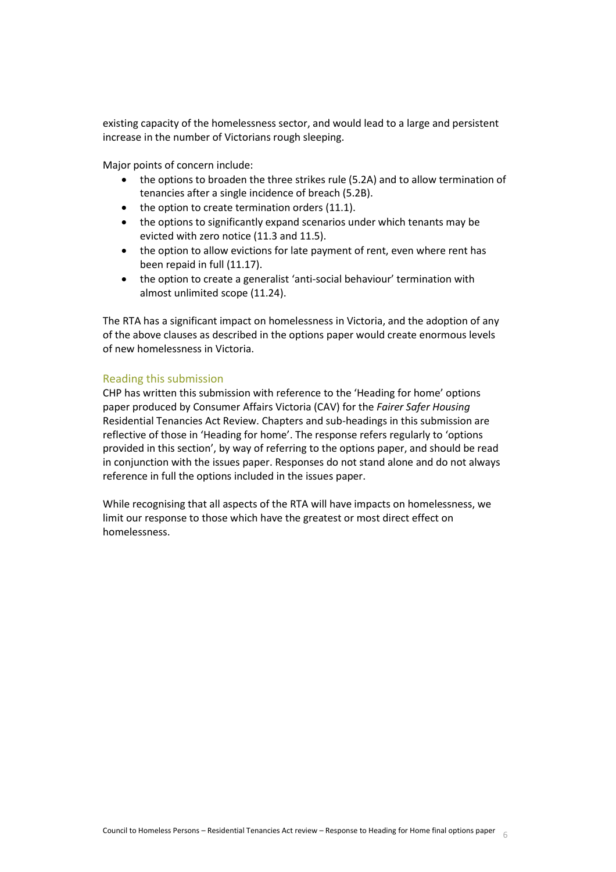existing capacity of the homelessness sector, and would lead to a large and persistent increase in the number of Victorians rough sleeping.

Major points of concern include:

- the options to broaden the three strikes rule (5.2A) and to allow termination of tenancies after a single incidence of breach (5.2B).
- $\bullet$  the option to create termination orders (11.1).
- the options to significantly expand scenarios under which tenants may be evicted with zero notice (11.3 and 11.5).
- the option to allow evictions for late payment of rent, even where rent has been repaid in full (11.17).
- the option to create a generalist 'anti-social behaviour' termination with almost unlimited scope (11.24).

The RTA has a significant impact on homelessness in Victoria, and the adoption of any of the above clauses as described in the options paper would create enormous levels of new homelessness in Victoria.

# Reading this submission

CHP has written this submission with reference to the 'Heading for home' options paper produced by Consumer Affairs Victoria (CAV) for the *Fairer Safer Housing* Residential Tenancies Act Review. Chapters and sub-headings in this submission are reflective of those in 'Heading for home'. The response refers regularly to 'options provided in this section', by way of referring to the options paper, and should be read in conjunction with the issues paper. Responses do not stand alone and do not always reference in full the options included in the issues paper.

<span id="page-5-0"></span>While recognising that all aspects of the RTA will have impacts on homelessness, we limit our response to those which have the greatest or most direct effect on homelessness.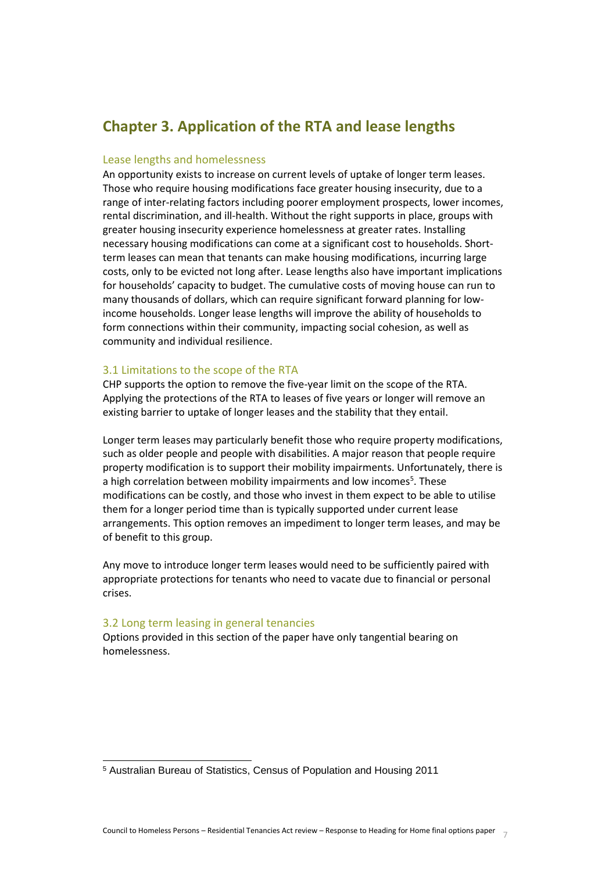# **Chapter 3. Application of the RTA and lease lengths**

# Lease lengths and homelessness

An opportunity exists to increase on current levels of uptake of longer term leases. Those who require housing modifications face greater housing insecurity, due to a range of inter-relating factors including poorer employment prospects, lower incomes, rental discrimination, and ill-health. Without the right supports in place, groups with greater housing insecurity experience homelessness at greater rates. Installing necessary housing modifications can come at a significant cost to households. Shortterm leases can mean that tenants can make housing modifications, incurring large costs, only to be evicted not long after. Lease lengths also have important implications for households' capacity to budget. The cumulative costs of moving house can run to many thousands of dollars, which can require significant forward planning for lowincome households. Longer lease lengths will improve the ability of households to form connections within their community, impacting social cohesion, as well as community and individual resilience.

# 3.1 Limitations to the scope of the RTA

CHP supports the option to remove the five-year limit on the scope of the RTA. Applying the protections of the RTA to leases of five years or longer will remove an existing barrier to uptake of longer leases and the stability that they entail.

Longer term leases may particularly benefit those who require property modifications, such as older people and people with disabilities. A major reason that people require property modification is to support their mobility impairments. Unfortunately, there is a high correlation between mobility impairments and low incomes<sup>5</sup>. These modifications can be costly, and those who invest in them expect to be able to utilise them for a longer period time than is typically supported under current lease arrangements. This option removes an impediment to longer term leases, and may be of benefit to this group.

Any move to introduce longer term leases would need to be sufficiently paired with appropriate protections for tenants who need to vacate due to financial or personal crises.

#### 3.2 Long term leasing in general tenancies

l

<span id="page-6-0"></span>Options provided in this section of the paper have only tangential bearing on homelessness.

<sup>5</sup> Australian Bureau of Statistics, Census of Population and Housing 2011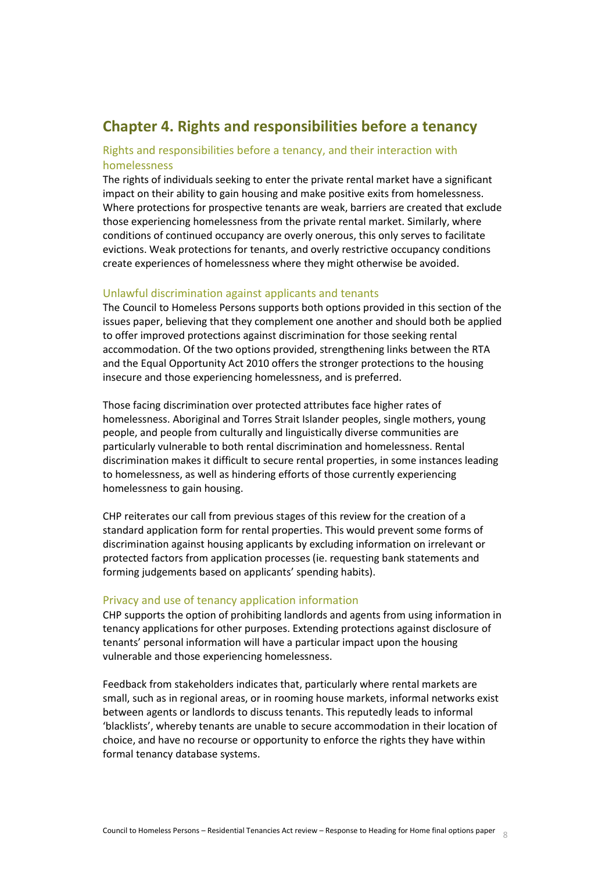# **Chapter 4. Rights and responsibilities before a tenancy**

# Rights and responsibilities before a tenancy, and their interaction with homelessness

The rights of individuals seeking to enter the private rental market have a significant impact on their ability to gain housing and make positive exits from homelessness. Where protections for prospective tenants are weak, barriers are created that exclude those experiencing homelessness from the private rental market. Similarly, where conditions of continued occupancy are overly onerous, this only serves to facilitate evictions. Weak protections for tenants, and overly restrictive occupancy conditions create experiences of homelessness where they might otherwise be avoided.

## Unlawful discrimination against applicants and tenants

The Council to Homeless Persons supports both options provided in this section of the issues paper, believing that they complement one another and should both be applied to offer improved protections against discrimination for those seeking rental accommodation. Of the two options provided, strengthening links between the RTA and the Equal Opportunity Act 2010 offers the stronger protections to the housing insecure and those experiencing homelessness, and is preferred.

Those facing discrimination over protected attributes face higher rates of homelessness. Aboriginal and Torres Strait Islander peoples, single mothers, young people, and people from culturally and linguistically diverse communities are particularly vulnerable to both rental discrimination and homelessness. Rental discrimination makes it difficult to secure rental properties, in some instances leading to homelessness, as well as hindering efforts of those currently experiencing homelessness to gain housing.

CHP reiterates our call from previous stages of this review for the creation of a standard application form for rental properties. This would prevent some forms of discrimination against housing applicants by excluding information on irrelevant or protected factors from application processes (ie. requesting bank statements and forming judgements based on applicants' spending habits).

#### Privacy and use of tenancy application information

CHP supports the option of prohibiting landlords and agents from using information in tenancy applications for other purposes. Extending protections against disclosure of tenants' personal information will have a particular impact upon the housing vulnerable and those experiencing homelessness.

Feedback from stakeholders indicates that, particularly where rental markets are small, such as in regional areas, or in rooming house markets, informal networks exist between agents or landlords to discuss tenants. This reputedly leads to informal 'blacklists', whereby tenants are unable to secure accommodation in their location of choice, and have no recourse or opportunity to enforce the rights they have within formal tenancy database systems.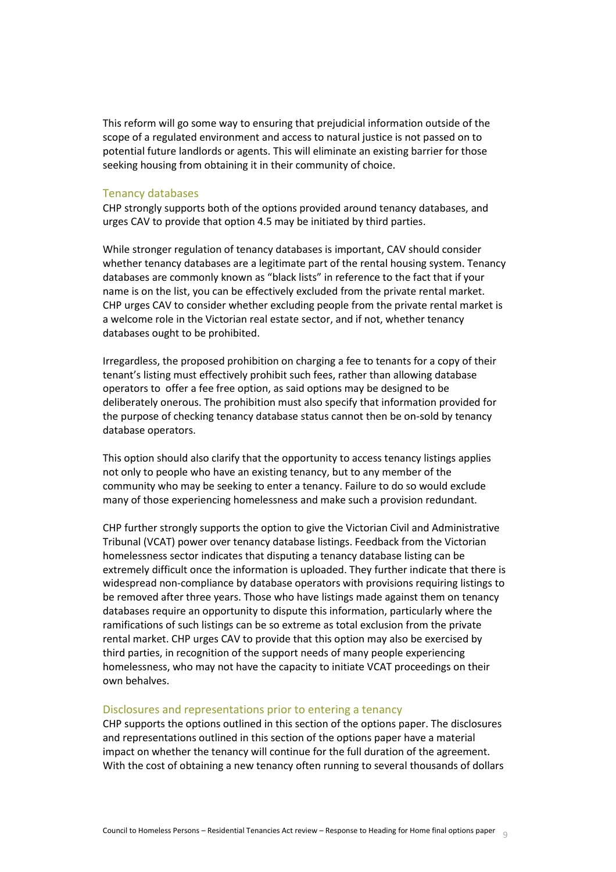This reform will go some way to ensuring that prejudicial information outside of the scope of a regulated environment and access to natural justice is not passed on to potential future landlords or agents. This will eliminate an existing barrier for those seeking housing from obtaining it in their community of choice.

#### Tenancy databases

CHP strongly supports both of the options provided around tenancy databases, and urges CAV to provide that option 4.5 may be initiated by third parties.

While stronger regulation of tenancy databases is important, CAV should consider whether tenancy databases are a legitimate part of the rental housing system. Tenancy databases are commonly known as "black lists" in reference to the fact that if your name is on the list, you can be effectively excluded from the private rental market. CHP urges CAV to consider whether excluding people from the private rental market is a welcome role in the Victorian real estate sector, and if not, whether tenancy databases ought to be prohibited.

Irregardless, the proposed prohibition on charging a fee to tenants for a copy of their tenant's listing must effectively prohibit such fees, rather than allowing database operators to offer a fee free option, as said options may be designed to be deliberately onerous. The prohibition must also specify that information provided for the purpose of checking tenancy database status cannot then be on-sold by tenancy database operators.

This option should also clarify that the opportunity to access tenancy listings applies not only to people who have an existing tenancy, but to any member of the community who may be seeking to enter a tenancy. Failure to do so would exclude many of those experiencing homelessness and make such a provision redundant.

CHP further strongly supports the option to give the Victorian Civil and Administrative Tribunal (VCAT) power over tenancy database listings. Feedback from the Victorian homelessness sector indicates that disputing a tenancy database listing can be extremely difficult once the information is uploaded. They further indicate that there is widespread non-compliance by database operators with provisions requiring listings to be removed after three years. Those who have listings made against them on tenancy databases require an opportunity to dispute this information, particularly where the ramifications of such listings can be so extreme as total exclusion from the private rental market. CHP urges CAV to provide that this option may also be exercised by third parties, in recognition of the support needs of many people experiencing homelessness, who may not have the capacity to initiate VCAT proceedings on their own behalves.

#### Disclosures and representations prior to entering a tenancy

CHP supports the options outlined in this section of the options paper. The disclosures and representations outlined in this section of the options paper have a material impact on whether the tenancy will continue for the full duration of the agreement. With the cost of obtaining a new tenancy often running to several thousands of dollars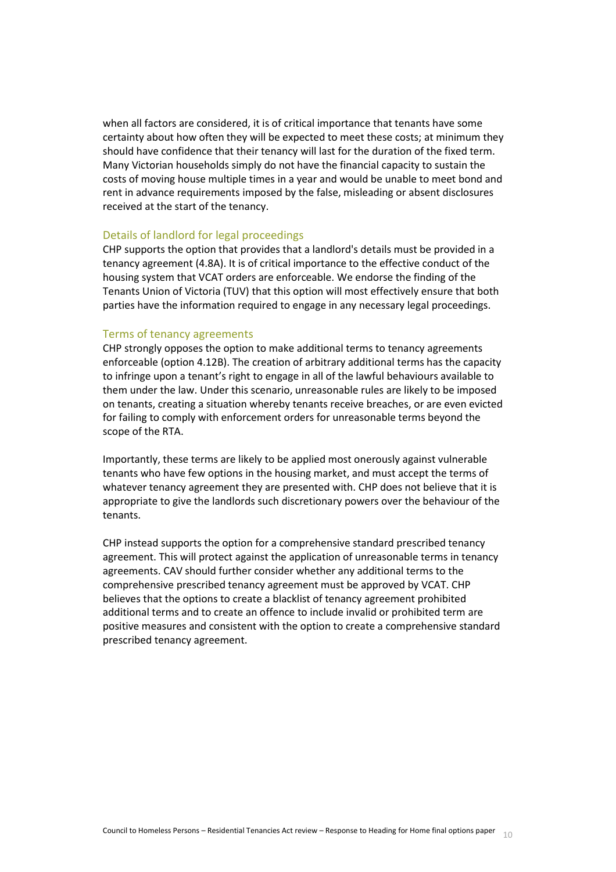when all factors are considered, it is of critical importance that tenants have some certainty about how often they will be expected to meet these costs; at minimum they should have confidence that their tenancy will last for the duration of the fixed term. Many Victorian households simply do not have the financial capacity to sustain the costs of moving house multiple times in a year and would be unable to meet bond and rent in advance requirements imposed by the false, misleading or absent disclosures received at the start of the tenancy.

#### Details of landlord for legal proceedings

CHP supports the option that provides that a landlord's details must be provided in a tenancy agreement (4.8A). It is of critical importance to the effective conduct of the housing system that VCAT orders are enforceable. We endorse the finding of the Tenants Union of Victoria (TUV) that this option will most effectively ensure that both parties have the information required to engage in any necessary legal proceedings.

#### Terms of tenancy agreements

CHP strongly opposes the option to make additional terms to tenancy agreements enforceable (option 4.12B). The creation of arbitrary additional terms has the capacity to infringe upon a tenant's right to engage in all of the lawful behaviours available to them under the law. Under this scenario, unreasonable rules are likely to be imposed on tenants, creating a situation whereby tenants receive breaches, or are even evicted for failing to comply with enforcement orders for unreasonable terms beyond the scope of the RTA.

Importantly, these terms are likely to be applied most onerously against vulnerable tenants who have few options in the housing market, and must accept the terms of whatever tenancy agreement they are presented with. CHP does not believe that it is appropriate to give the landlords such discretionary powers over the behaviour of the tenants.

<span id="page-9-0"></span>CHP instead supports the option for a comprehensive standard prescribed tenancy agreement. This will protect against the application of unreasonable terms in tenancy agreements. CAV should further consider whether any additional terms to the comprehensive prescribed tenancy agreement must be approved by VCAT. CHP believes that the options to create a blacklist of tenancy agreement prohibited additional terms and to create an offence to include invalid or prohibited term are positive measures and consistent with the option to create a comprehensive standard prescribed tenancy agreement.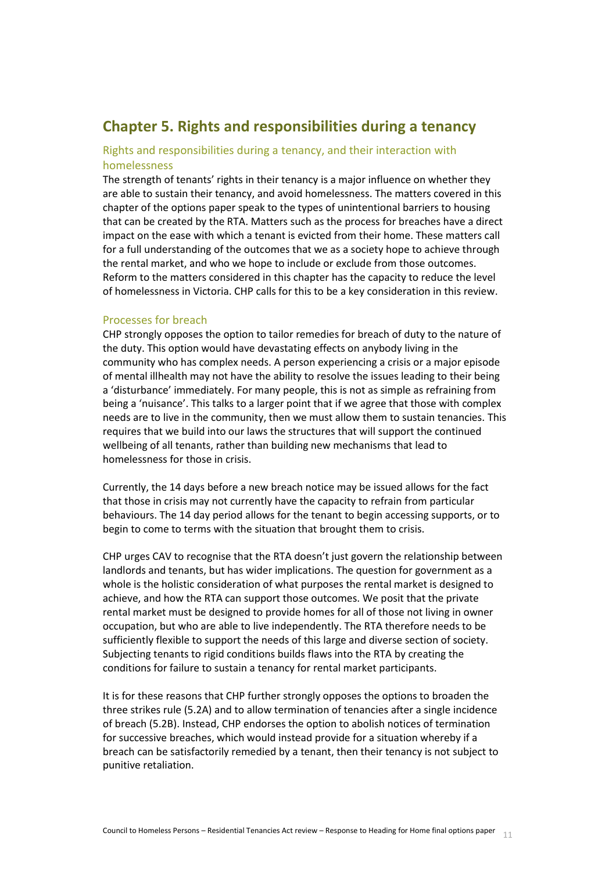# **Chapter 5. Rights and responsibilities during a tenancy**

# Rights and responsibilities during a tenancy, and their interaction with homelessness

The strength of tenants' rights in their tenancy is a major influence on whether they are able to sustain their tenancy, and avoid homelessness. The matters covered in this chapter of the options paper speak to the types of unintentional barriers to housing that can be created by the RTA. Matters such as the process for breaches have a direct impact on the ease with which a tenant is evicted from their home. These matters call for a full understanding of the outcomes that we as a society hope to achieve through the rental market, and who we hope to include or exclude from those outcomes. Reform to the matters considered in this chapter has the capacity to reduce the level of homelessness in Victoria. CHP calls for this to be a key consideration in this review.

## Processes for breach

CHP strongly opposes the option to tailor remedies for breach of duty to the nature of the duty. This option would have devastating effects on anybody living in the community who has complex needs. A person experiencing a crisis or a major episode of mental illhealth may not have the ability to resolve the issues leading to their being a 'disturbance' immediately. For many people, this is not as simple as refraining from being a 'nuisance'. This talks to a larger point that if we agree that those with complex needs are to live in the community, then we must allow them to sustain tenancies. This requires that we build into our laws the structures that will support the continued wellbeing of all tenants, rather than building new mechanisms that lead to homelessness for those in crisis.

Currently, the 14 days before a new breach notice may be issued allows for the fact that those in crisis may not currently have the capacity to refrain from particular behaviours. The 14 day period allows for the tenant to begin accessing supports, or to begin to come to terms with the situation that brought them to crisis.

CHP urges CAV to recognise that the RTA doesn't just govern the relationship between landlords and tenants, but has wider implications. The question for government as a whole is the holistic consideration of what purposes the rental market is designed to achieve, and how the RTA can support those outcomes. We posit that the private rental market must be designed to provide homes for all of those not living in owner occupation, but who are able to live independently. The RTA therefore needs to be sufficiently flexible to support the needs of this large and diverse section of society. Subjecting tenants to rigid conditions builds flaws into the RTA by creating the conditions for failure to sustain a tenancy for rental market participants.

It is for these reasons that CHP further strongly opposes the options to broaden the three strikes rule (5.2A) and to allow termination of tenancies after a single incidence of breach (5.2B). Instead, CHP endorses the option to abolish notices of termination for successive breaches, which would instead provide for a situation whereby if a breach can be satisfactorily remedied by a tenant, then their tenancy is not subject to punitive retaliation.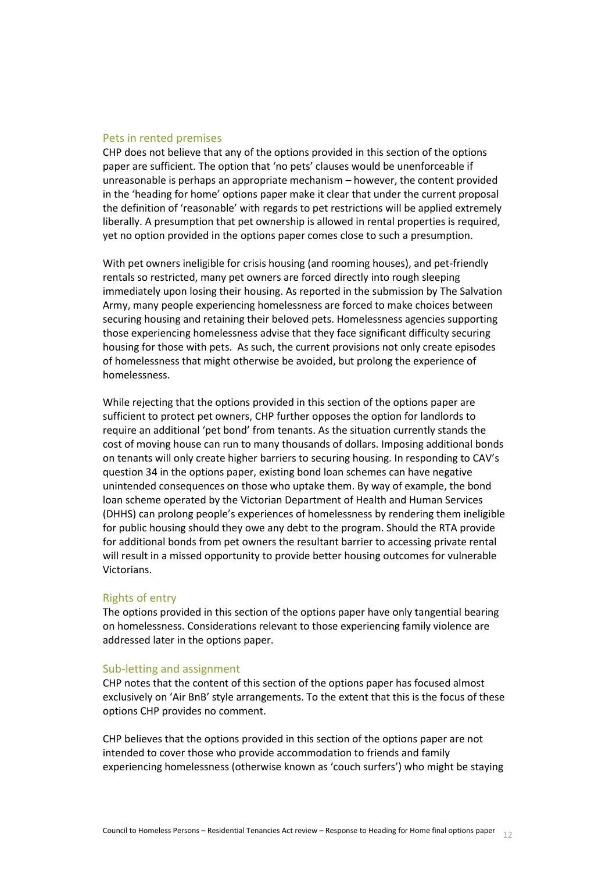#### Pets in rented premises

CHP does not believe that any of the options provided in this section of the options paper are sufficient. The option that 'no pets' clauses would be unenforceable if unreasonable is perhaps an appropriate mechanism – however, the content provided in the 'heading for home' options paper make it clear that under the current proposal the definition of 'reasonable' with regards to pet restrictions will be applied extremely liberally. A presumption that pet ownership is allowed in rental properties is required, yet no option provided in the options paper comes close to such a presumption.

With pet owners ineligible for crisis housing (and rooming houses), and pet-friendly rentals so restricted, many pet owners are forced directly into rough sleeping immediately upon losing their housing. As reported in the submission by The Salvation Army, many people experiencing homelessness are forced to make choices between securing housing and retaining their beloved pets. Homelessness agencies supporting those experiencing homelessness advise that they face significant difficulty securing housing for those with pets. As such, the current provisions not only create episodes of homelessness that might otherwise be avoided, but prolong the experience of homelessness.

While rejecting that the options provided in this section of the options paper are sufficient to protect pet owners, CHP further opposes the option for landlords to require an additional 'pet bond' from tenants. As the situation currently stands the cost of moving house can run to many thousands of dollars. Imposing additional bonds on tenants will only create higher barriers to securing housing. In responding to CAV's question 34 in the options paper, existing bond loan schemes can have negative unintended consequences on those who uptake them. By way of example, the bond loan scheme operated by the Victorian Department of Health and Human Services (DHHS) can prolong people's experiences of homelessness by rendering them ineligible for public housing should they owe any debt to the program. Should the RTA provide for additional bonds from pet owners the resultant barrier to accessing private rental will result in a missed opportunity to provide better housing outcomes for vulnerable Victorians.

#### Rights of entry

The options provided in this section of the options paper have only tangential bearing on homelessness. Considerations relevant to those experiencing family violence are addressed later in the options paper.

#### Sub-letting and assignment

CHP notes that the content of this section of the options paper has focused almost exclusively on 'Air BnB' style arrangements. To the extent that this is the focus of these options CHP provides no comment.

CHP believes that the options provided in this section of the options paper are not intended to cover those who provide accommodation to friends and family experiencing homelessness (otherwise known as 'couch surfers') who might be staying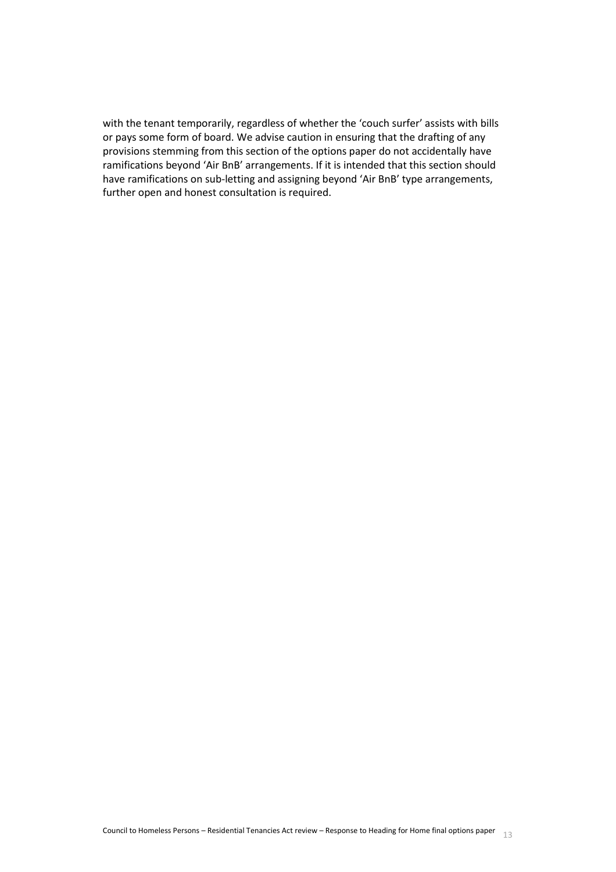<span id="page-12-0"></span>with the tenant temporarily, regardless of whether the 'couch surfer' assists with bills or pays some form of board. We advise caution in ensuring that the drafting of any provisions stemming from this section of the options paper do not accidentally have ramifications beyond 'Air BnB' arrangements. If it is intended that this section should have ramifications on sub-letting and assigning beyond 'Air BnB' type arrangements, further open and honest consultation is required.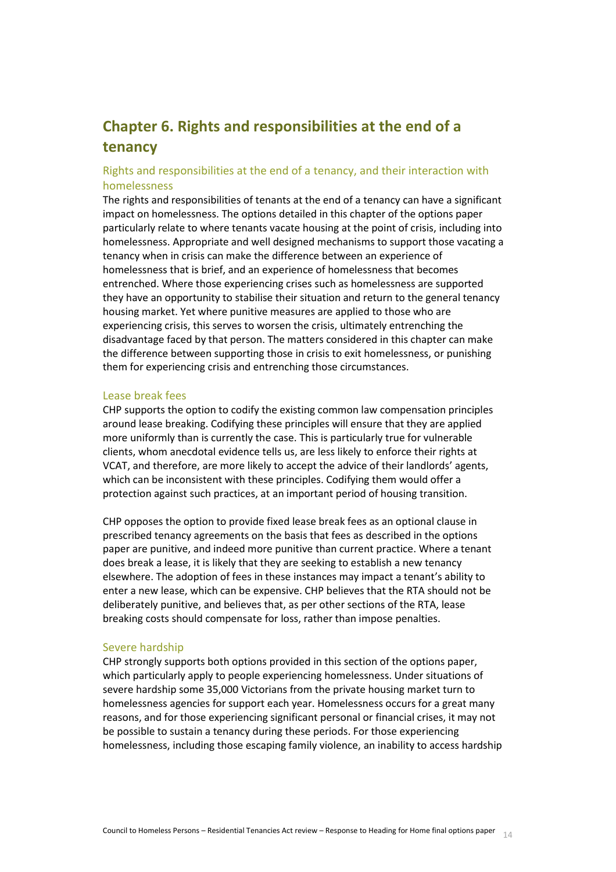# **Chapter 6. Rights and responsibilities at the end of a tenancy**

# Rights and responsibilities at the end of a tenancy, and their interaction with homelessness

The rights and responsibilities of tenants at the end of a tenancy can have a significant impact on homelessness. The options detailed in this chapter of the options paper particularly relate to where tenants vacate housing at the point of crisis, including into homelessness. Appropriate and well designed mechanisms to support those vacating a tenancy when in crisis can make the difference between an experience of homelessness that is brief, and an experience of homelessness that becomes entrenched. Where those experiencing crises such as homelessness are supported they have an opportunity to stabilise their situation and return to the general tenancy housing market. Yet where punitive measures are applied to those who are experiencing crisis, this serves to worsen the crisis, ultimately entrenching the disadvantage faced by that person. The matters considered in this chapter can make the difference between supporting those in crisis to exit homelessness, or punishing them for experiencing crisis and entrenching those circumstances.

#### Lease break fees

CHP supports the option to codify the existing common law compensation principles around lease breaking. Codifying these principles will ensure that they are applied more uniformly than is currently the case. This is particularly true for vulnerable clients, whom anecdotal evidence tells us, are less likely to enforce their rights at VCAT, and therefore, are more likely to accept the advice of their landlords' agents, which can be inconsistent with these principles. Codifying them would offer a protection against such practices, at an important period of housing transition.

CHP opposes the option to provide fixed lease break fees as an optional clause in prescribed tenancy agreements on the basis that fees as described in the options paper are punitive, and indeed more punitive than current practice. Where a tenant does break a lease, it is likely that they are seeking to establish a new tenancy elsewhere. The adoption of fees in these instances may impact a tenant's ability to enter a new lease, which can be expensive. CHP believes that the RTA should not be deliberately punitive, and believes that, as per other sections of the RTA, lease breaking costs should compensate for loss, rather than impose penalties.

#### Severe hardship

CHP strongly supports both options provided in this section of the options paper, which particularly apply to people experiencing homelessness. Under situations of severe hardship some 35,000 Victorians from the private housing market turn to homelessness agencies for support each year. Homelessness occurs for a great many reasons, and for those experiencing significant personal or financial crises, it may not be possible to sustain a tenancy during these periods. For those experiencing homelessness, including those escaping family violence, an inability to access hardship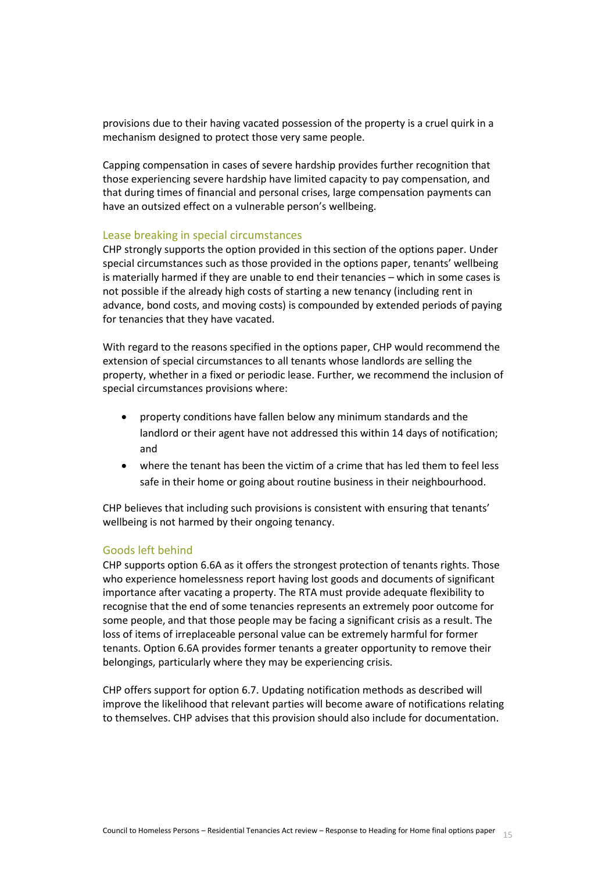provisions due to their having vacated possession of the property is a cruel quirk in a mechanism designed to protect those very same people.

Capping compensation in cases of severe hardship provides further recognition that those experiencing severe hardship have limited capacity to pay compensation, and that during times of financial and personal crises, large compensation payments can have an outsized effect on a vulnerable person's wellbeing.

## Lease breaking in special circumstances

CHP strongly supports the option provided in this section of the options paper. Under special circumstances such as those provided in the options paper, tenants' wellbeing is materially harmed if they are unable to end their tenancies – which in some cases is not possible if the already high costs of starting a new tenancy (including rent in advance, bond costs, and moving costs) is compounded by extended periods of paying for tenancies that they have vacated.

With regard to the reasons specified in the options paper, CHP would recommend the extension of special circumstances to all tenants whose landlords are selling the property, whether in a fixed or periodic lease. Further, we recommend the inclusion of special circumstances provisions where:

- property conditions have fallen below any minimum standards and the landlord or their agent have not addressed this within 14 days of notification; and
- where the tenant has been the victim of a crime that has led them to feel less safe in their home or going about routine business in their neighbourhood.

CHP believes that including such provisions is consistent with ensuring that tenants' wellbeing is not harmed by their ongoing tenancy.

# Goods left behind

CHP supports option 6.6A as it offers the strongest protection of tenants rights. Those who experience homelessness report having lost goods and documents of significant importance after vacating a property. The RTA must provide adequate flexibility to recognise that the end of some tenancies represents an extremely poor outcome for some people, and that those people may be facing a significant crisis as a result. The loss of items of irreplaceable personal value can be extremely harmful for former tenants. Option 6.6A provides former tenants a greater opportunity to remove their belongings, particularly where they may be experiencing crisis.

<span id="page-14-0"></span>CHP offers support for option 6.7. Updating notification methods as described will improve the likelihood that relevant parties will become aware of notifications relating to themselves. CHP advises that this provision should also include for documentation.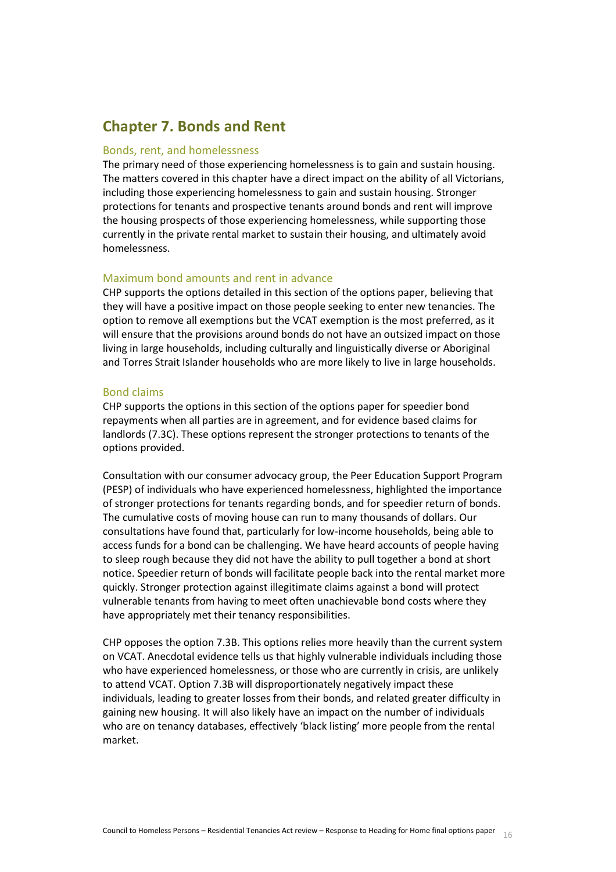# **Chapter 7. Bonds and Rent**

#### Bonds, rent, and homelessness

The primary need of those experiencing homelessness is to gain and sustain housing. The matters covered in this chapter have a direct impact on the ability of all Victorians, including those experiencing homelessness to gain and sustain housing. Stronger protections for tenants and prospective tenants around bonds and rent will improve the housing prospects of those experiencing homelessness, while supporting those currently in the private rental market to sustain their housing, and ultimately avoid homelessness.

#### Maximum bond amounts and rent in advance

CHP supports the options detailed in this section of the options paper, believing that they will have a positive impact on those people seeking to enter new tenancies. The option to remove all exemptions but the VCAT exemption is the most preferred, as it will ensure that the provisions around bonds do not have an outsized impact on those living in large households, including culturally and linguistically diverse or Aboriginal and Torres Strait Islander households who are more likely to live in large households.

#### Bond claims

CHP supports the options in this section of the options paper for speedier bond repayments when all parties are in agreement, and for evidence based claims for landlords (7.3C). These options represent the stronger protections to tenants of the options provided.

Consultation with our consumer advocacy group, the Peer Education Support Program (PESP) of individuals who have experienced homelessness, highlighted the importance of stronger protections for tenants regarding bonds, and for speedier return of bonds. The cumulative costs of moving house can run to many thousands of dollars. Our consultations have found that, particularly for low-income households, being able to access funds for a bond can be challenging. We have heard accounts of people having to sleep rough because they did not have the ability to pull together a bond at short notice. Speedier return of bonds will facilitate people back into the rental market more quickly. Stronger protection against illegitimate claims against a bond will protect vulnerable tenants from having to meet often unachievable bond costs where they have appropriately met their tenancy responsibilities.

CHP opposes the option 7.3B. This options relies more heavily than the current system on VCAT. Anecdotal evidence tells us that highly vulnerable individuals including those who have experienced homelessness, or those who are currently in crisis, are unlikely to attend VCAT. Option 7.3B will disproportionately negatively impact these individuals, leading to greater losses from their bonds, and related greater difficulty in gaining new housing. It will also likely have an impact on the number of individuals who are on tenancy databases, effectively 'black listing' more people from the rental market.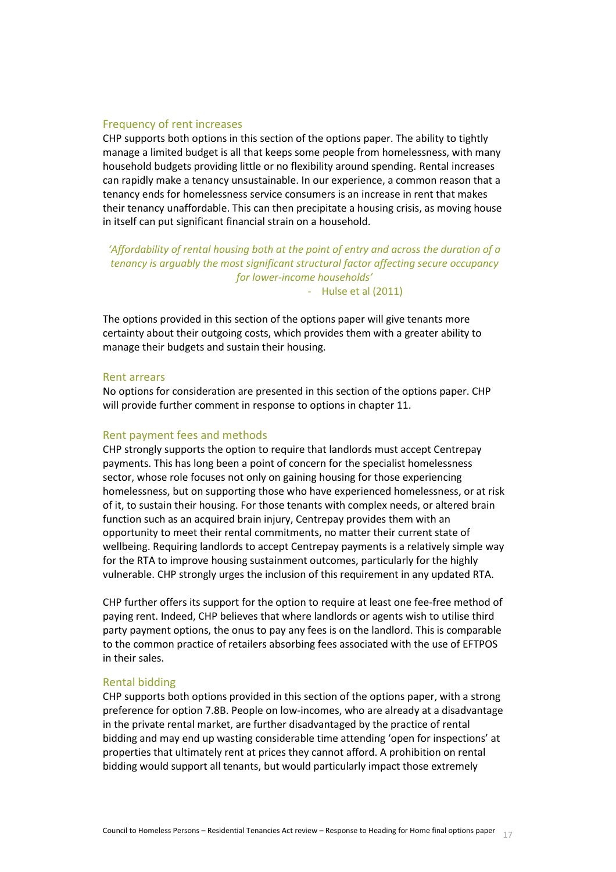#### Frequency of rent increases

CHP supports both options in this section of the options paper. The ability to tightly manage a limited budget is all that keeps some people from homelessness, with many household budgets providing little or no flexibility around spending. Rental increases can rapidly make a tenancy unsustainable. In our experience, a common reason that a tenancy ends for homelessness service consumers is an increase in rent that makes their tenancy unaffordable. This can then precipitate a housing crisis, as moving house in itself can put significant financial strain on a household.

*'Affordability of rental housing both at the point of entry and across the duration of a tenancy is arguably the most significant structural factor affecting secure occupancy for lower-income households'* - Hulse et al (2011)

The options provided in this section of the options paper will give tenants more certainty about their outgoing costs, which provides them with a greater ability to manage their budgets and sustain their housing.

#### Rent arrears

No options for consideration are presented in this section of the options paper. CHP will provide further comment in response to options in chapter 11.

#### Rent payment fees and methods

CHP strongly supports the option to require that landlords must accept Centrepay payments. This has long been a point of concern for the specialist homelessness sector, whose role focuses not only on gaining housing for those experiencing homelessness, but on supporting those who have experienced homelessness, or at risk of it, to sustain their housing. For those tenants with complex needs, or altered brain function such as an acquired brain injury, Centrepay provides them with an opportunity to meet their rental commitments, no matter their current state of wellbeing. Requiring landlords to accept Centrepay payments is a relatively simple way for the RTA to improve housing sustainment outcomes, particularly for the highly vulnerable. CHP strongly urges the inclusion of this requirement in any updated RTA.

CHP further offers its support for the option to require at least one fee-free method of paying rent. Indeed, CHP believes that where landlords or agents wish to utilise third party payment options, the onus to pay any fees is on the landlord. This is comparable to the common practice of retailers absorbing fees associated with the use of EFTPOS in their sales.

#### Rental bidding

CHP supports both options provided in this section of the options paper, with a strong preference for option 7.8B. People on low-incomes, who are already at a disadvantage in the private rental market, are further disadvantaged by the practice of rental bidding and may end up wasting considerable time attending 'open for inspections' at properties that ultimately rent at prices they cannot afford. A prohibition on rental bidding would support all tenants, but would particularly impact those extremely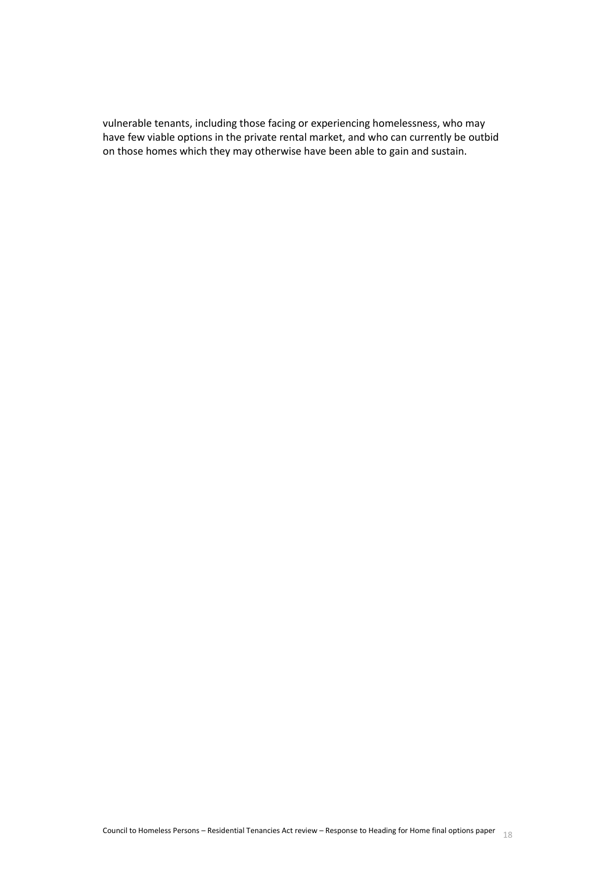<span id="page-17-0"></span>vulnerable tenants, including those facing or experiencing homelessness, who may have few viable options in the private rental market, and who can currently be outbid on those homes which they may otherwise have been able to gain and sustain.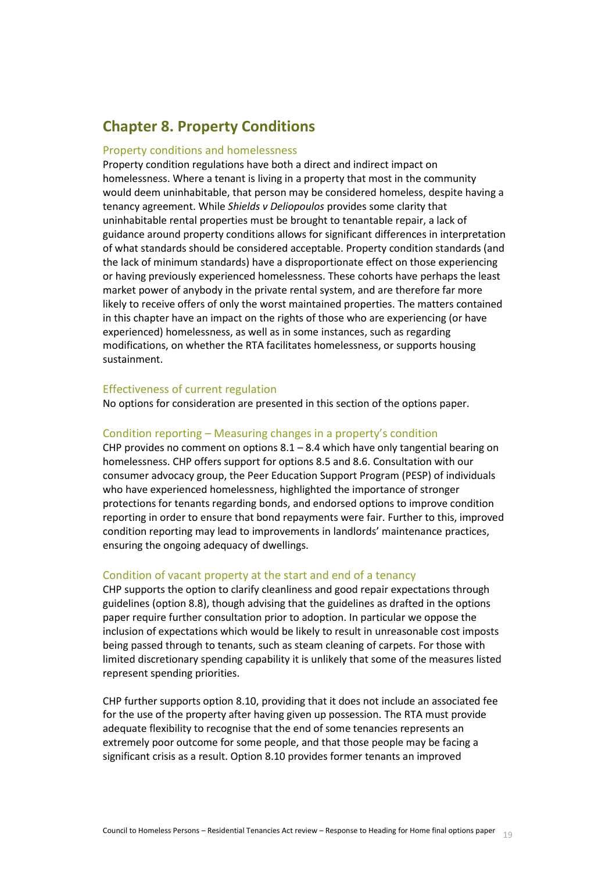# **Chapter 8. Property Conditions**

#### Property conditions and homelessness

Property condition regulations have both a direct and indirect impact on homelessness. Where a tenant is living in a property that most in the community would deem uninhabitable, that person may be considered homeless, despite having a tenancy agreement. While *Shields v Deliopoulos* provides some clarity that uninhabitable rental properties must be brought to tenantable repair, a lack of guidance around property conditions allows for significant differences in interpretation of what standards should be considered acceptable. Property condition standards (and the lack of minimum standards) have a disproportionate effect on those experiencing or having previously experienced homelessness. These cohorts have perhaps the least market power of anybody in the private rental system, and are therefore far more likely to receive offers of only the worst maintained properties. The matters contained in this chapter have an impact on the rights of those who are experiencing (or have experienced) homelessness, as well as in some instances, such as regarding modifications, on whether the RTA facilitates homelessness, or supports housing sustainment.

# Effectiveness of current regulation

No options for consideration are presented in this section of the options paper.

#### Condition reporting – Measuring changes in a property's condition

CHP provides no comment on options  $8.1 - 8.4$  which have only tangential bearing on homelessness. CHP offers support for options 8.5 and 8.6. Consultation with our consumer advocacy group, the Peer Education Support Program (PESP) of individuals who have experienced homelessness, highlighted the importance of stronger protections for tenants regarding bonds, and endorsed options to improve condition reporting in order to ensure that bond repayments were fair. Further to this, improved condition reporting may lead to improvements in landlords' maintenance practices, ensuring the ongoing adequacy of dwellings.

#### Condition of vacant property at the start and end of a tenancy

CHP supports the option to clarify cleanliness and good repair expectations through guidelines (option 8.8), though advising that the guidelines as drafted in the options paper require further consultation prior to adoption. In particular we oppose the inclusion of expectations which would be likely to result in unreasonable cost imposts being passed through to tenants, such as steam cleaning of carpets. For those with limited discretionary spending capability it is unlikely that some of the measures listed represent spending priorities.

CHP further supports option 8.10, providing that it does not include an associated fee for the use of the property after having given up possession. The RTA must provide adequate flexibility to recognise that the end of some tenancies represents an extremely poor outcome for some people, and that those people may be facing a significant crisis as a result. Option 8.10 provides former tenants an improved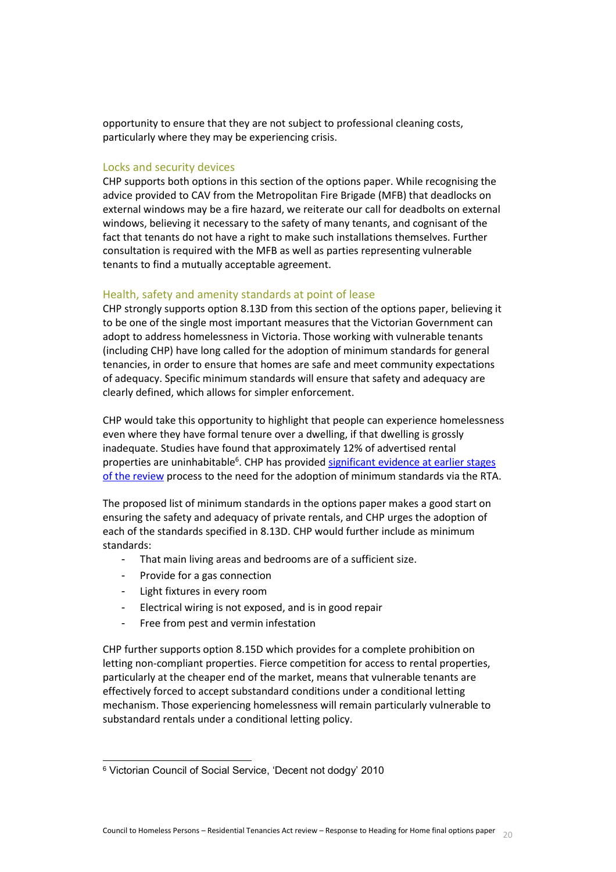opportunity to ensure that they are not subject to professional cleaning costs, particularly where they may be experiencing crisis.

#### Locks and security devices

CHP supports both options in this section of the options paper. While recognising the advice provided to CAV from the Metropolitan Fire Brigade (MFB) that deadlocks on external windows may be a fire hazard, we reiterate our call for deadbolts on external windows, believing it necessary to the safety of many tenants, and cognisant of the fact that tenants do not have a right to make such installations themselves. Further consultation is required with the MFB as well as parties representing vulnerable tenants to find a mutually acceptable agreement.

# Health, safety and amenity standards at point of lease

CHP strongly supports option 8.13D from this section of the options paper, believing it to be one of the single most important measures that the Victorian Government can adopt to address homelessness in Victoria. Those working with vulnerable tenants (including CHP) have long called for the adoption of minimum standards for general tenancies, in order to ensure that homes are safe and meet community expectations of adequacy. Specific minimum standards will ensure that safety and adequacy are clearly defined, which allows for simpler enforcement.

CHP would take this opportunity to highlight that people can experience homelessness even where they have formal tenure over a dwelling, if that dwelling is grossly inadequate. Studies have found that approximately 12% of advertised rental properties are uninhabitable<sup>6</sup>. CHP has provided significant evidence at earlier stages [of the review](http://fairersaferhousing.vic.gov.au/public-submissions/documents/45927/download) process to the need for the adoption of minimum standards via the RTA.

The proposed list of minimum standards in the options paper makes a good start on ensuring the safety and adequacy of private rentals, and CHP urges the adoption of each of the standards specified in 8.13D. CHP would further include as minimum standards:

- That main living areas and bedrooms are of a sufficient size.
- Provide for a gas connection
- Light fixtures in every room

l

- Electrical wiring is not exposed, and is in good repair
- Free from pest and vermin infestation

CHP further supports option 8.15D which provides for a complete prohibition on letting non-compliant properties. Fierce competition for access to rental properties, particularly at the cheaper end of the market, means that vulnerable tenants are effectively forced to accept substandard conditions under a conditional letting mechanism. Those experiencing homelessness will remain particularly vulnerable to substandard rentals under a conditional letting policy.

<sup>6</sup> Victorian Council of Social Service, 'Decent not dodgy' 2010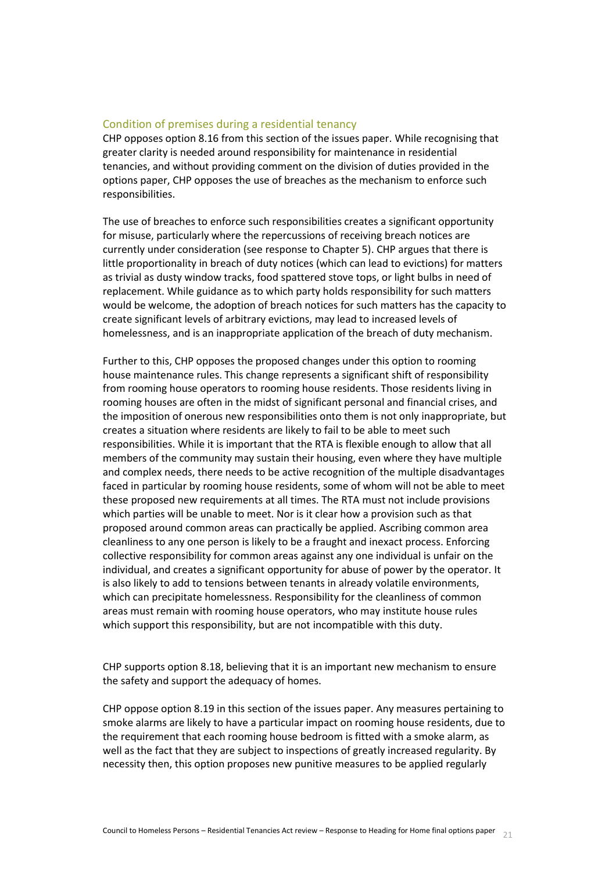# Condition of premises during a residential tenancy

CHP opposes option 8.16 from this section of the issues paper. While recognising that greater clarity is needed around responsibility for maintenance in residential tenancies, and without providing comment on the division of duties provided in the options paper, CHP opposes the use of breaches as the mechanism to enforce such responsibilities.

The use of breaches to enforce such responsibilities creates a significant opportunity for misuse, particularly where the repercussions of receiving breach notices are currently under consideration (see response to Chapter 5). CHP argues that there is little proportionality in breach of duty notices (which can lead to evictions) for matters as trivial as dusty window tracks, food spattered stove tops, or light bulbs in need of replacement. While guidance as to which party holds responsibility for such matters would be welcome, the adoption of breach notices for such matters has the capacity to create significant levels of arbitrary evictions, may lead to increased levels of homelessness, and is an inappropriate application of the breach of duty mechanism.

Further to this, CHP opposes the proposed changes under this option to rooming house maintenance rules. This change represents a significant shift of responsibility from rooming house operators to rooming house residents. Those residents living in rooming houses are often in the midst of significant personal and financial crises, and the imposition of onerous new responsibilities onto them is not only inappropriate, but creates a situation where residents are likely to fail to be able to meet such responsibilities. While it is important that the RTA is flexible enough to allow that all members of the community may sustain their housing, even where they have multiple and complex needs, there needs to be active recognition of the multiple disadvantages faced in particular by rooming house residents, some of whom will not be able to meet these proposed new requirements at all times. The RTA must not include provisions which parties will be unable to meet. Nor is it clear how a provision such as that proposed around common areas can practically be applied. Ascribing common area cleanliness to any one person is likely to be a fraught and inexact process. Enforcing collective responsibility for common areas against any one individual is unfair on the individual, and creates a significant opportunity for abuse of power by the operator. It is also likely to add to tensions between tenants in already volatile environments, which can precipitate homelessness. Responsibility for the cleanliness of common areas must remain with rooming house operators, who may institute house rules which support this responsibility, but are not incompatible with this duty.

CHP supports option 8.18, believing that it is an important new mechanism to ensure the safety and support the adequacy of homes.

CHP oppose option 8.19 in this section of the issues paper. Any measures pertaining to smoke alarms are likely to have a particular impact on rooming house residents, due to the requirement that each rooming house bedroom is fitted with a smoke alarm, as well as the fact that they are subject to inspections of greatly increased regularity. By necessity then, this option proposes new punitive measures to be applied regularly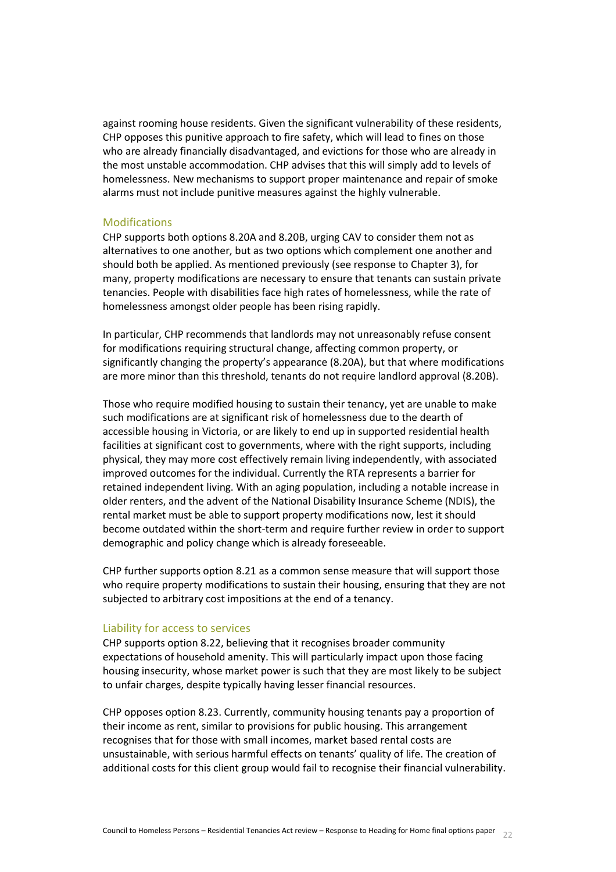against rooming house residents. Given the significant vulnerability of these residents, CHP opposes this punitive approach to fire safety, which will lead to fines on those who are already financially disadvantaged, and evictions for those who are already in the most unstable accommodation. CHP advises that this will simply add to levels of homelessness. New mechanisms to support proper maintenance and repair of smoke alarms must not include punitive measures against the highly vulnerable.

#### Modifications

CHP supports both options 8.20A and 8.20B, urging CAV to consider them not as alternatives to one another, but as two options which complement one another and should both be applied. As mentioned previously (see response to Chapter 3), for many, property modifications are necessary to ensure that tenants can sustain private tenancies. People with disabilities face high rates of homelessness, while the rate of homelessness amongst older people has been rising rapidly.

In particular, CHP recommends that landlords may not unreasonably refuse consent for modifications requiring structural change, affecting common property, or significantly changing the property's appearance (8.20A), but that where modifications are more minor than this threshold, tenants do not require landlord approval (8.20B).

Those who require modified housing to sustain their tenancy, yet are unable to make such modifications are at significant risk of homelessness due to the dearth of accessible housing in Victoria, or are likely to end up in supported residential health facilities at significant cost to governments, where with the right supports, including physical, they may more cost effectively remain living independently, with associated improved outcomes for the individual. Currently the RTA represents a barrier for retained independent living. With an aging population, including a notable increase in older renters, and the advent of the National Disability Insurance Scheme (NDIS), the rental market must be able to support property modifications now, lest it should become outdated within the short-term and require further review in order to support demographic and policy change which is already foreseeable.

CHP further supports option 8.21 as a common sense measure that will support those who require property modifications to sustain their housing, ensuring that they are not subjected to arbitrary cost impositions at the end of a tenancy.

#### Liability for access to services

CHP supports option 8.22, believing that it recognises broader community expectations of household amenity. This will particularly impact upon those facing housing insecurity, whose market power is such that they are most likely to be subject to unfair charges, despite typically having lesser financial resources.

CHP opposes option 8.23. Currently, community housing tenants pay a proportion of their income as rent, similar to provisions for public housing. This arrangement recognises that for those with small incomes, market based rental costs are unsustainable, with serious harmful effects on tenants' quality of life. The creation of additional costs for this client group would fail to recognise their financial vulnerability.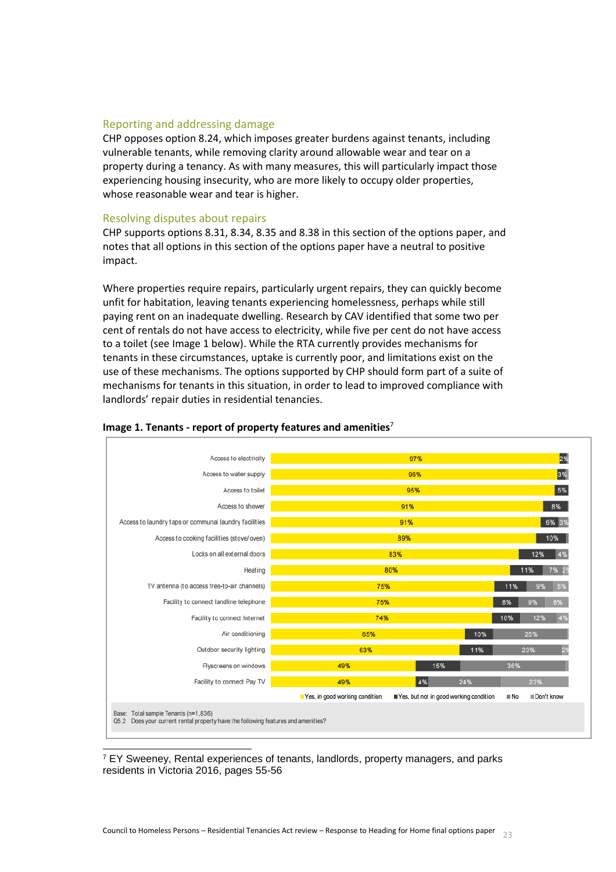## Reporting and addressing damage

CHP opposes option 8.24, which imposes greater burdens against tenants, including vulnerable tenants, while removing clarity around allowable wear and tear on a property during a tenancy. As with many measures, this will particularly impact those experiencing housing insecurity, who are more likely to occupy older properties, whose reasonable wear and tear is higher.

#### Resolving disputes about repairs

CHP supports options 8.31, 8.34, 8.35 and 8.38 in this section of the options paper, and notes that all options in this section of the options paper have a neutral to positive impact.

Where properties require repairs, particularly urgent repairs, they can quickly become unfit for habitation, leaving tenants experiencing homelessness, perhaps while still paying rent on an inadequate dwelling. Research by CAV identified that some two per cent of rentals do not have access to electricity, while five per cent do not have access to a toilet (see Image 1 below). While the RTA currently provides mechanisms for tenants in these circumstances, uptake is currently poor, and limitations exist on the use of these mechanisms. The options supported by CHP should form part of a suite of mechanisms for tenants in this situation, in order to lead to improved compliance with landlords' repair duties in residential tenancies.



#### **Image 1. Tenants - report of property features and amenities**<sup>7</sup>

<sup>7</sup> EY Sweeney, Rental experiences of tenants, landlords, property managers, and parks residents in Victoria 2016, pages 55-56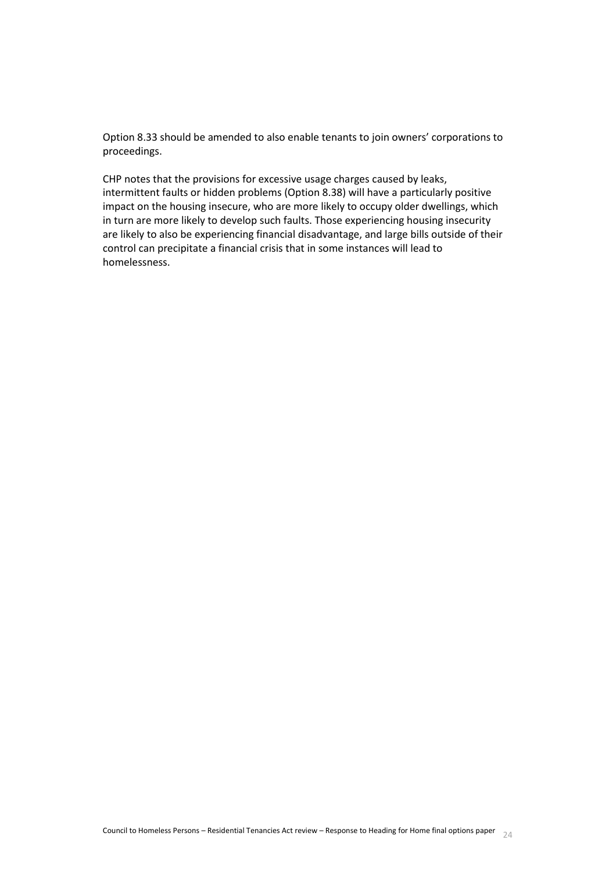Option 8.33 should be amended to also enable tenants to join owners' corporations to proceedings.

<span id="page-23-0"></span>CHP notes that the provisions for excessive usage charges caused by leaks, intermittent faults or hidden problems (Option 8.38) will have a particularly positive impact on the housing insecure, who are more likely to occupy older dwellings, which in turn are more likely to develop such faults. Those experiencing housing insecurity are likely to also be experiencing financial disadvantage, and large bills outside of their control can precipitate a financial crisis that in some instances will lead to homelessness.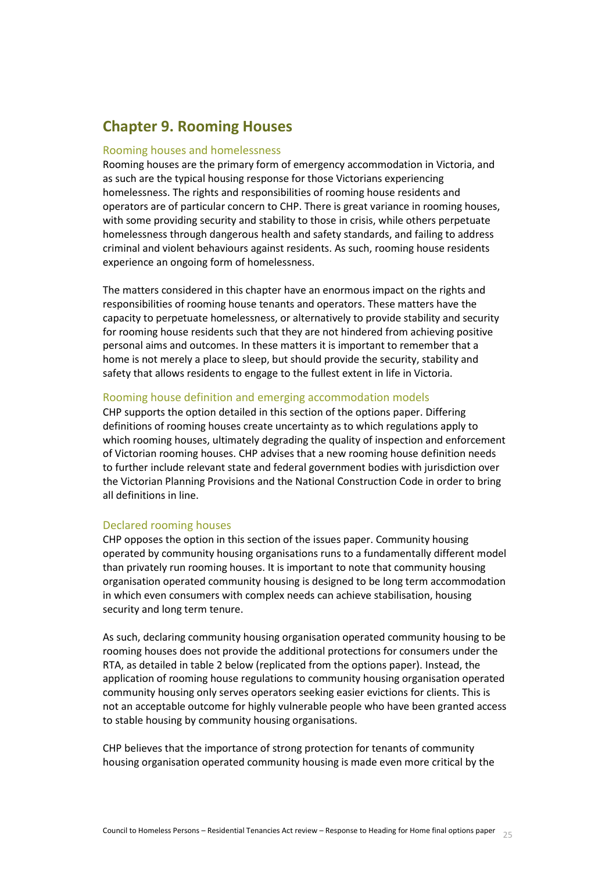# **Chapter 9. Rooming Houses**

## Rooming houses and homelessness

Rooming houses are the primary form of emergency accommodation in Victoria, and as such are the typical housing response for those Victorians experiencing homelessness. The rights and responsibilities of rooming house residents and operators are of particular concern to CHP. There is great variance in rooming houses, with some providing security and stability to those in crisis, while others perpetuate homelessness through dangerous health and safety standards, and failing to address criminal and violent behaviours against residents. As such, rooming house residents experience an ongoing form of homelessness.

The matters considered in this chapter have an enormous impact on the rights and responsibilities of rooming house tenants and operators. These matters have the capacity to perpetuate homelessness, or alternatively to provide stability and security for rooming house residents such that they are not hindered from achieving positive personal aims and outcomes. In these matters it is important to remember that a home is not merely a place to sleep, but should provide the security, stability and safety that allows residents to engage to the fullest extent in life in Victoria.

#### Rooming house definition and emerging accommodation models

CHP supports the option detailed in this section of the options paper. Differing definitions of rooming houses create uncertainty as to which regulations apply to which rooming houses, ultimately degrading the quality of inspection and enforcement of Victorian rooming houses. CHP advises that a new rooming house definition needs to further include relevant state and federal government bodies with jurisdiction over the Victorian Planning Provisions and the National Construction Code in order to bring all definitions in line.

#### Declared rooming houses

CHP opposes the option in this section of the issues paper. Community housing operated by community housing organisations runs to a fundamentally different model than privately run rooming houses. It is important to note that community housing organisation operated community housing is designed to be long term accommodation in which even consumers with complex needs can achieve stabilisation, housing security and long term tenure.

As such, declaring community housing organisation operated community housing to be rooming houses does not provide the additional protections for consumers under the RTA, as detailed in table 2 below (replicated from the options paper). Instead, the application of rooming house regulations to community housing organisation operated community housing only serves operators seeking easier evictions for clients. This is not an acceptable outcome for highly vulnerable people who have been granted access to stable housing by community housing organisations.

CHP believes that the importance of strong protection for tenants of community housing organisation operated community housing is made even more critical by the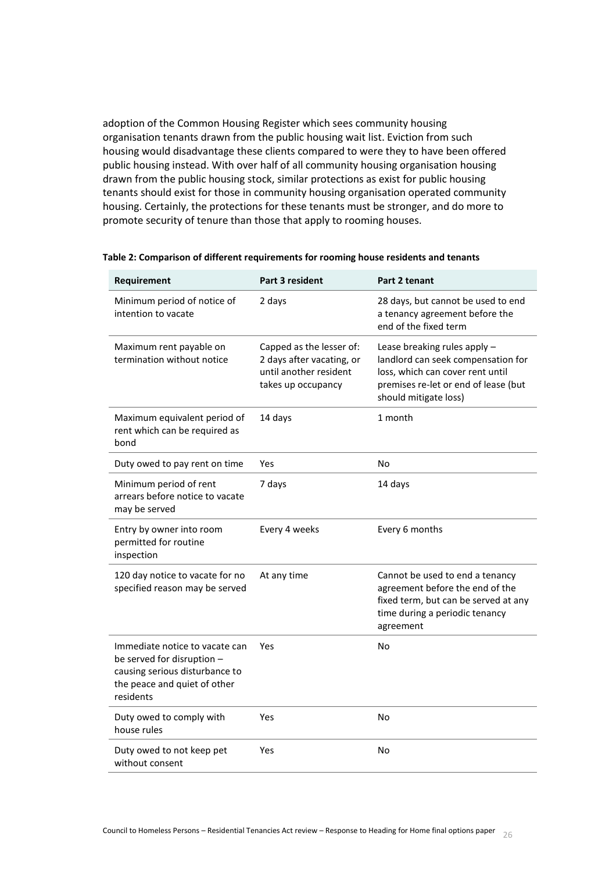adoption of the Common Housing Register which sees community housing organisation tenants drawn from the public housing wait list. Eviction from such housing would disadvantage these clients compared to were they to have been offered public housing instead. With over half of all community housing organisation housing drawn from the public housing stock, similar protections as exist for public housing tenants should exist for those in community housing organisation operated community housing. Certainly, the protections for these tenants must be stronger, and do more to promote security of tenure than those that apply to rooming houses.

| Requirement                                                                                                                                 | <b>Part 3 resident</b>                                                                                | Part 2 tenant                                                                                                                                                           |
|---------------------------------------------------------------------------------------------------------------------------------------------|-------------------------------------------------------------------------------------------------------|-------------------------------------------------------------------------------------------------------------------------------------------------------------------------|
| Minimum period of notice of<br>intention to vacate                                                                                          | 2 days                                                                                                | 28 days, but cannot be used to end<br>a tenancy agreement before the<br>end of the fixed term                                                                           |
| Maximum rent payable on<br>termination without notice                                                                                       | Capped as the lesser of:<br>2 days after vacating, or<br>until another resident<br>takes up occupancy | Lease breaking rules apply -<br>landlord can seek compensation for<br>loss, which can cover rent until<br>premises re-let or end of lease (but<br>should mitigate loss) |
| Maximum equivalent period of<br>rent which can be required as<br>bond                                                                       | 14 days                                                                                               | 1 month                                                                                                                                                                 |
| Duty owed to pay rent on time                                                                                                               | Yes                                                                                                   | No                                                                                                                                                                      |
| Minimum period of rent<br>arrears before notice to vacate<br>may be served                                                                  | 7 days                                                                                                | 14 days                                                                                                                                                                 |
| Entry by owner into room<br>permitted for routine<br>inspection                                                                             | Every 4 weeks                                                                                         | Every 6 months                                                                                                                                                          |
| 120 day notice to vacate for no<br>specified reason may be served                                                                           | At any time                                                                                           | Cannot be used to end a tenancy<br>agreement before the end of the<br>fixed term, but can be served at any<br>time during a periodic tenancy<br>agreement               |
| Immediate notice to vacate can<br>be served for disruption -<br>causing serious disturbance to<br>the peace and quiet of other<br>residents | Yes                                                                                                   | No                                                                                                                                                                      |
| Duty owed to comply with<br>house rules                                                                                                     | Yes                                                                                                   | No                                                                                                                                                                      |
| Duty owed to not keep pet<br>without consent                                                                                                | Yes                                                                                                   | No                                                                                                                                                                      |

#### **Table 2: Comparison of different requirements for rooming house residents and tenants**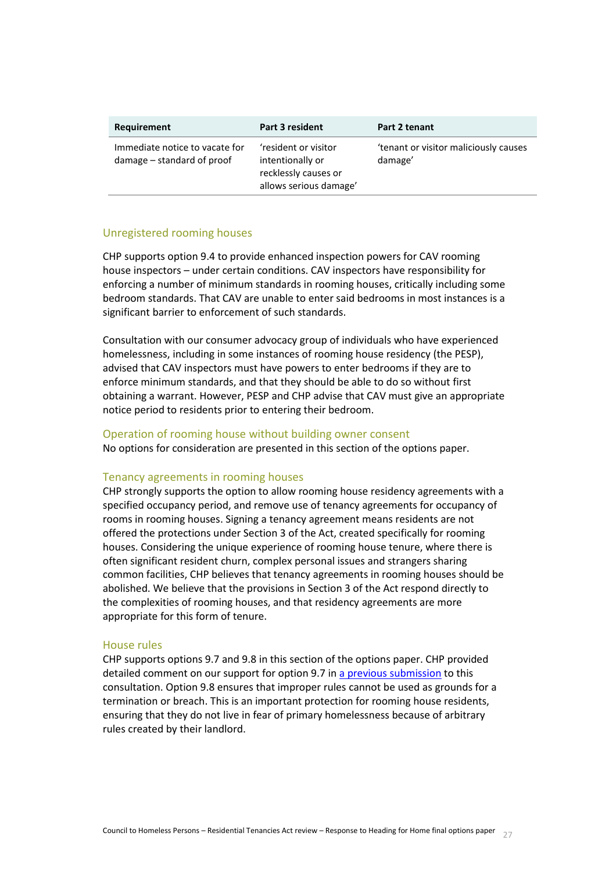| Requirement                                                  | Part 3 resident                                                                            | Part 2 tenant                                    |
|--------------------------------------------------------------|--------------------------------------------------------------------------------------------|--------------------------------------------------|
| Immediate notice to vacate for<br>damage – standard of proof | 'resident or visitor<br>intentionally or<br>recklessly causes or<br>allows serious damage' | 'tenant or visitor maliciously causes<br>damage' |

# Unregistered rooming houses

CHP supports option 9.4 to provide enhanced inspection powers for CAV rooming house inspectors – under certain conditions. CAV inspectors have responsibility for enforcing a number of minimum standards in rooming houses, critically including some bedroom standards. That CAV are unable to enter said bedrooms in most instances is a significant barrier to enforcement of such standards.

Consultation with our consumer advocacy group of individuals who have experienced homelessness, including in some instances of rooming house residency (the PESP), advised that CAV inspectors must have powers to enter bedrooms if they are to enforce minimum standards, and that they should be able to do so without first obtaining a warrant. However, PESP and CHP advise that CAV must give an appropriate notice period to residents prior to entering their bedroom.

#### Operation of rooming house without building owner consent

No options for consideration are presented in this section of the options paper.

#### Tenancy agreements in rooming houses

CHP strongly supports the option to allow rooming house residency agreements with a specified occupancy period, and remove use of tenancy agreements for occupancy of rooms in rooming houses. Signing a tenancy agreement means residents are not offered the protections under Section 3 of the Act, created specifically for rooming houses. Considering the unique experience of rooming house tenure, where there is often significant resident churn, complex personal issues and strangers sharing common facilities, CHP believes that tenancy agreements in rooming houses should be abolished. We believe that the provisions in Section 3 of the Act respond directly to the complexities of rooming houses, and that residency agreements are more appropriate for this form of tenure.

#### House rules

CHP supports options 9.7 and 9.8 in this section of the options paper. CHP provided detailed comment on our support for option 9.7 i[n a previous submission](http://fairersaferhousing.vic.gov.au/public-submissions/documents/45962/download) to this consultation. Option 9.8 ensures that improper rules cannot be used as grounds for a termination or breach. This is an important protection for rooming house residents, ensuring that they do not live in fear of primary homelessness because of arbitrary rules created by their landlord.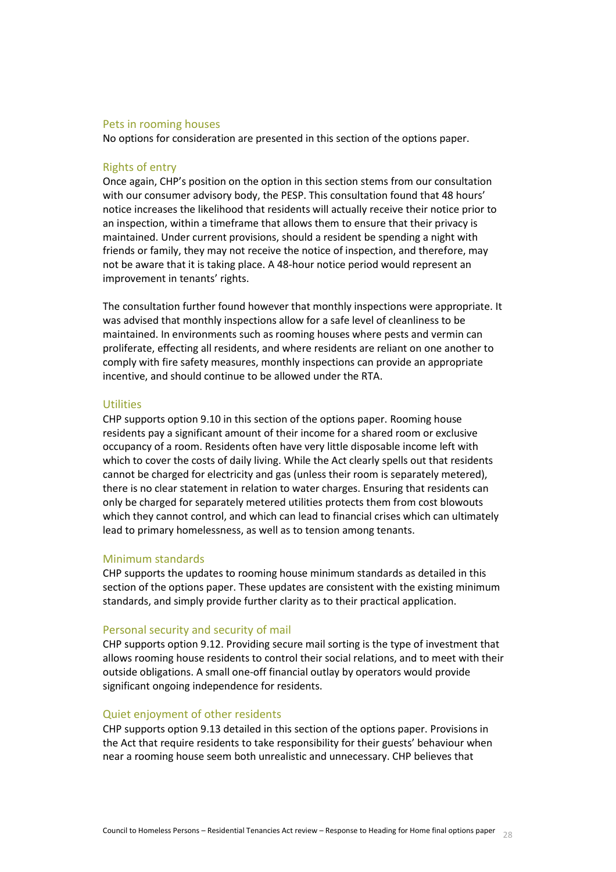#### Pets in rooming houses

No options for consideration are presented in this section of the options paper.

#### Rights of entry

Once again, CHP's position on the option in this section stems from our consultation with our consumer advisory body, the PESP. This consultation found that 48 hours' notice increases the likelihood that residents will actually receive their notice prior to an inspection, within a timeframe that allows them to ensure that their privacy is maintained. Under current provisions, should a resident be spending a night with friends or family, they may not receive the notice of inspection, and therefore, may not be aware that it is taking place. A 48-hour notice period would represent an improvement in tenants' rights.

The consultation further found however that monthly inspections were appropriate. It was advised that monthly inspections allow for a safe level of cleanliness to be maintained. In environments such as rooming houses where pests and vermin can proliferate, effecting all residents, and where residents are reliant on one another to comply with fire safety measures, monthly inspections can provide an appropriate incentive, and should continue to be allowed under the RTA.

# Utilities

CHP supports option 9.10 in this section of the options paper. Rooming house residents pay a significant amount of their income for a shared room or exclusive occupancy of a room. Residents often have very little disposable income left with which to cover the costs of daily living. While the Act clearly spells out that residents cannot be charged for electricity and gas (unless their room is separately metered), there is no clear statement in relation to water charges. Ensuring that residents can only be charged for separately metered utilities protects them from cost blowouts which they cannot control, and which can lead to financial crises which can ultimately lead to primary homelessness, as well as to tension among tenants.

## Minimum standards

CHP supports the updates to rooming house minimum standards as detailed in this section of the options paper. These updates are consistent with the existing minimum standards, and simply provide further clarity as to their practical application.

#### Personal security and security of mail

CHP supports option 9.12. Providing secure mail sorting is the type of investment that allows rooming house residents to control their social relations, and to meet with their outside obligations. A small one-off financial outlay by operators would provide significant ongoing independence for residents.

#### Quiet enjoyment of other residents

CHP supports option 9.13 detailed in this section of the options paper. Provisions in the Act that require residents to take responsibility for their guests' behaviour when near a rooming house seem both unrealistic and unnecessary. CHP believes that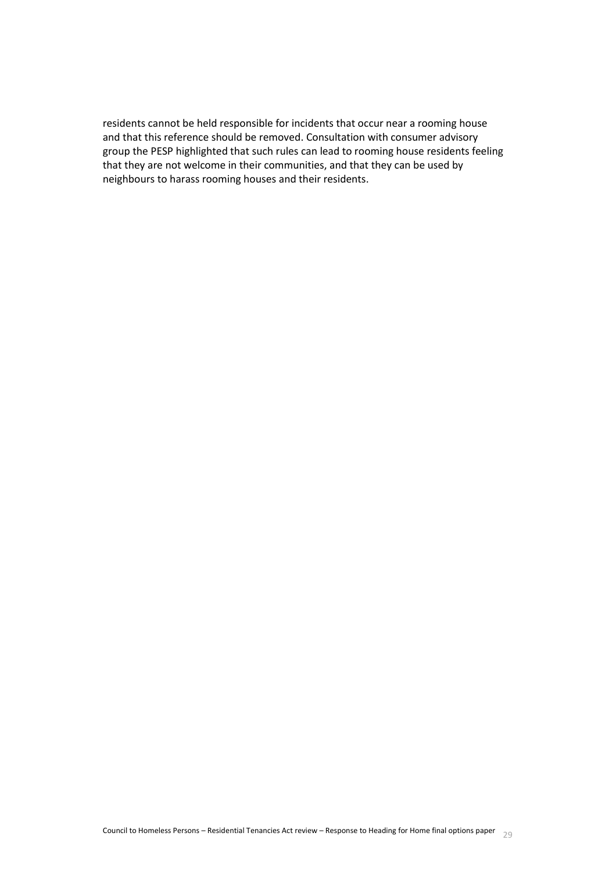<span id="page-28-0"></span>residents cannot be held responsible for incidents that occur near a rooming house and that this reference should be removed. Consultation with consumer advisory group the PESP highlighted that such rules can lead to rooming house residents feeling that they are not welcome in their communities, and that they can be used by neighbours to harass rooming houses and their residents.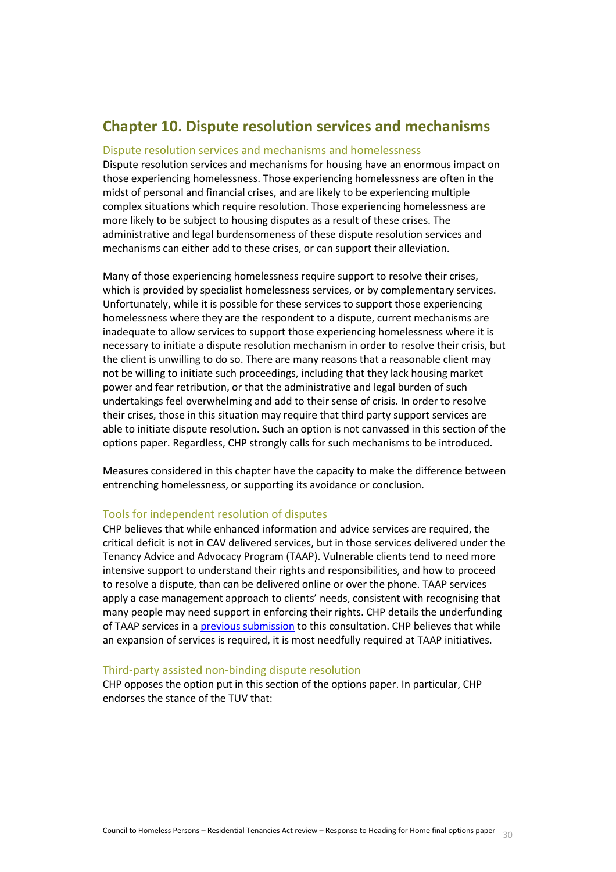# **Chapter 10. Dispute resolution services and mechanisms**

#### Dispute resolution services and mechanisms and homelessness

Dispute resolution services and mechanisms for housing have an enormous impact on those experiencing homelessness. Those experiencing homelessness are often in the midst of personal and financial crises, and are likely to be experiencing multiple complex situations which require resolution. Those experiencing homelessness are more likely to be subject to housing disputes as a result of these crises. The administrative and legal burdensomeness of these dispute resolution services and mechanisms can either add to these crises, or can support their alleviation.

Many of those experiencing homelessness require support to resolve their crises, which is provided by specialist homelessness services, or by complementary services. Unfortunately, while it is possible for these services to support those experiencing homelessness where they are the respondent to a dispute, current mechanisms are inadequate to allow services to support those experiencing homelessness where it is necessary to initiate a dispute resolution mechanism in order to resolve their crisis, but the client is unwilling to do so. There are many reasons that a reasonable client may not be willing to initiate such proceedings, including that they lack housing market power and fear retribution, or that the administrative and legal burden of such undertakings feel overwhelming and add to their sense of crisis. In order to resolve their crises, those in this situation may require that third party support services are able to initiate dispute resolution. Such an option is not canvassed in this section of the options paper. Regardless, CHP strongly calls for such mechanisms to be introduced.

Measures considered in this chapter have the capacity to make the difference between entrenching homelessness, or supporting its avoidance or conclusion.

# Tools for independent resolution of disputes

CHP believes that while enhanced information and advice services are required, the critical deficit is not in CAV delivered services, but in those services delivered under the Tenancy Advice and Advocacy Program (TAAP). Vulnerable clients tend to need more intensive support to understand their rights and responsibilities, and how to proceed to resolve a dispute, than can be delivered online or over the phone. TAAP services apply a case management approach to clients' needs, consistent with recognising that many people may need support in enforcing their rights. CHP details the underfunding of TAAP services in [a previous submission](http://fairersaferhousing.vic.gov.au/public-submissions/documents/41353/download) to this consultation. CHP believes that while an expansion of services is required, it is most needfully required at TAAP initiatives.

#### Third-party assisted non-binding dispute resolution

CHP opposes the option put in this section of the options paper. In particular, CHP endorses the stance of the TUV that: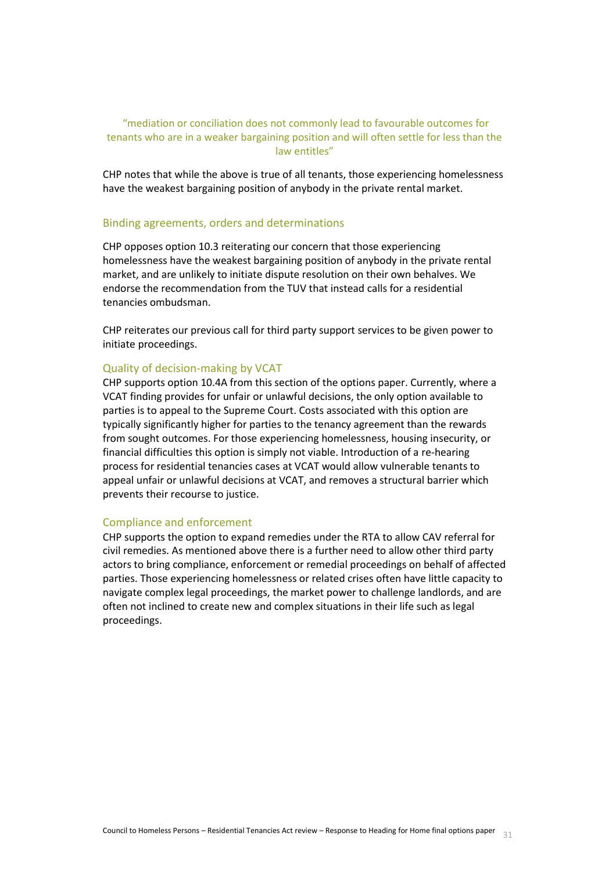# "mediation or conciliation does not commonly lead to favourable outcomes for tenants who are in a weaker bargaining position and will often settle for less than the law entitles"

CHP notes that while the above is true of all tenants, those experiencing homelessness have the weakest bargaining position of anybody in the private rental market.

#### Binding agreements, orders and determinations

CHP opposes option 10.3 reiterating our concern that those experiencing homelessness have the weakest bargaining position of anybody in the private rental market, and are unlikely to initiate dispute resolution on their own behalves. We endorse the recommendation from the TUV that instead calls for a residential tenancies ombudsman.

CHP reiterates our previous call for third party support services to be given power to initiate proceedings.

#### Quality of decision-making by VCAT

CHP supports option 10.4A from this section of the options paper. Currently, where a VCAT finding provides for unfair or unlawful decisions, the only option available to parties is to appeal to the Supreme Court. Costs associated with this option are typically significantly higher for parties to the tenancy agreement than the rewards from sought outcomes. For those experiencing homelessness, housing insecurity, or financial difficulties this option is simply not viable. Introduction of a re-hearing process for residential tenancies cases at VCAT would allow vulnerable tenants to appeal unfair or unlawful decisions at VCAT, and removes a structural barrier which prevents their recourse to justice.

#### Compliance and enforcement

<span id="page-30-0"></span>CHP supports the option to expand remedies under the RTA to allow CAV referral for civil remedies. As mentioned above there is a further need to allow other third party actors to bring compliance, enforcement or remedial proceedings on behalf of affected parties. Those experiencing homelessness or related crises often have little capacity to navigate complex legal proceedings, the market power to challenge landlords, and are often not inclined to create new and complex situations in their life such as legal proceedings.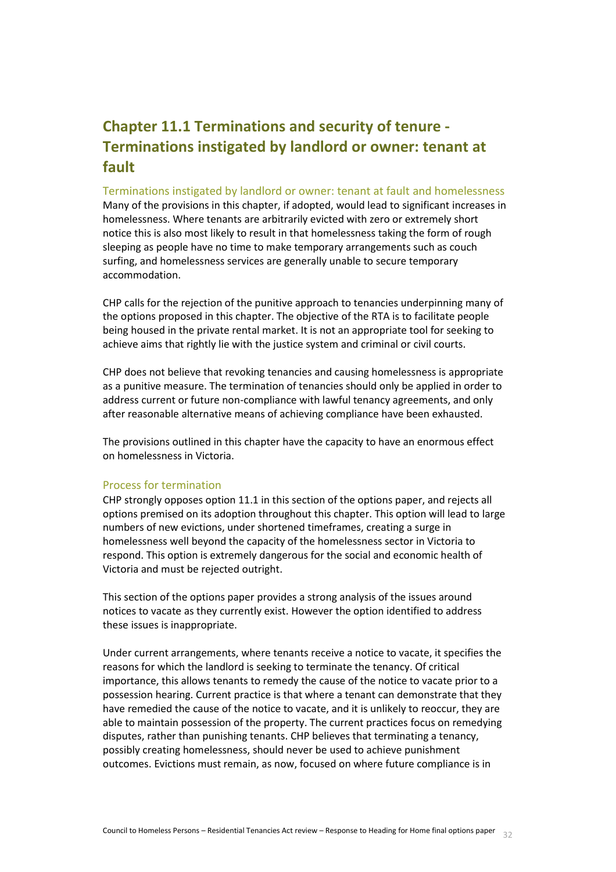# **Chapter 11.1 Terminations and security of tenure - Terminations instigated by landlord or owner: tenant at fault**

#### Terminations instigated by landlord or owner: tenant at fault and homelessness

Many of the provisions in this chapter, if adopted, would lead to significant increases in homelessness. Where tenants are arbitrarily evicted with zero or extremely short notice this is also most likely to result in that homelessness taking the form of rough sleeping as people have no time to make temporary arrangements such as couch surfing, and homelessness services are generally unable to secure temporary accommodation.

CHP calls for the rejection of the punitive approach to tenancies underpinning many of the options proposed in this chapter. The objective of the RTA is to facilitate people being housed in the private rental market. It is not an appropriate tool for seeking to achieve aims that rightly lie with the justice system and criminal or civil courts.

CHP does not believe that revoking tenancies and causing homelessness is appropriate as a punitive measure. The termination of tenancies should only be applied in order to address current or future non-compliance with lawful tenancy agreements, and only after reasonable alternative means of achieving compliance have been exhausted.

The provisions outlined in this chapter have the capacity to have an enormous effect on homelessness in Victoria.

## Process for termination

CHP strongly opposes option 11.1 in this section of the options paper, and rejects all options premised on its adoption throughout this chapter. This option will lead to large numbers of new evictions, under shortened timeframes, creating a surge in homelessness well beyond the capacity of the homelessness sector in Victoria to respond. This option is extremely dangerous for the social and economic health of Victoria and must be rejected outright.

This section of the options paper provides a strong analysis of the issues around notices to vacate as they currently exist. However the option identified to address these issues is inappropriate.

Under current arrangements, where tenants receive a notice to vacate, it specifies the reasons for which the landlord is seeking to terminate the tenancy. Of critical importance, this allows tenants to remedy the cause of the notice to vacate prior to a possession hearing. Current practice is that where a tenant can demonstrate that they have remedied the cause of the notice to vacate, and it is unlikely to reoccur, they are able to maintain possession of the property. The current practices focus on remedying disputes, rather than punishing tenants. CHP believes that terminating a tenancy, possibly creating homelessness, should never be used to achieve punishment outcomes. Evictions must remain, as now, focused on where future compliance is in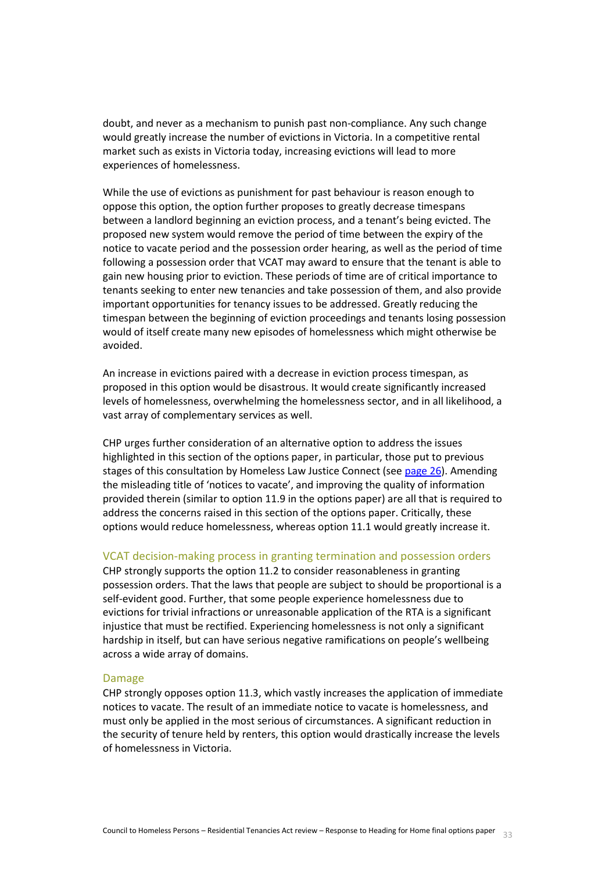doubt, and never as a mechanism to punish past non-compliance. Any such change would greatly increase the number of evictions in Victoria. In a competitive rental market such as exists in Victoria today, increasing evictions will lead to more experiences of homelessness.

While the use of evictions as punishment for past behaviour is reason enough to oppose this option, the option further proposes to greatly decrease timespans between a landlord beginning an eviction process, and a tenant's being evicted. The proposed new system would remove the period of time between the expiry of the notice to vacate period and the possession order hearing, as well as the period of time following a possession order that VCAT may award to ensure that the tenant is able to gain new housing prior to eviction. These periods of time are of critical importance to tenants seeking to enter new tenancies and take possession of them, and also provide important opportunities for tenancy issues to be addressed. Greatly reducing the timespan between the beginning of eviction proceedings and tenants losing possession would of itself create many new episodes of homelessness which might otherwise be avoided.

An increase in evictions paired with a decrease in eviction process timespan, as proposed in this option would be disastrous. It would create significantly increased levels of homelessness, overwhelming the homelessness sector, and in all likelihood, a vast array of complementary services as well.

CHP urges further consideration of an alternative option to address the issues highlighted in this section of the options paper, in particular, those put to previous stages of this consultation by Homeless Law Justice Connect (see [page 26\)](https://www.justiceconnect.org.au/sites/default/files/Homeless%20Law%20-%20Submission%20to%20the%20RTA%20Review%20%28August%202015%29.pdf). Amending the misleading title of 'notices to vacate', and improving the quality of information provided therein (similar to option 11.9 in the options paper) are all that is required to address the concerns raised in this section of the options paper. Critically, these options would reduce homelessness, whereas option 11.1 would greatly increase it.

#### VCAT decision-making process in granting termination and possession orders

CHP strongly supports the option 11.2 to consider reasonableness in granting possession orders. That the laws that people are subject to should be proportional is a self-evident good. Further, that some people experience homelessness due to evictions for trivial infractions or unreasonable application of the RTA is a significant injustice that must be rectified. Experiencing homelessness is not only a significant hardship in itself, but can have serious negative ramifications on people's wellbeing across a wide array of domains.

#### Damage

CHP strongly opposes option 11.3, which vastly increases the application of immediate notices to vacate. The result of an immediate notice to vacate is homelessness, and must only be applied in the most serious of circumstances. A significant reduction in the security of tenure held by renters, this option would drastically increase the levels of homelessness in Victoria.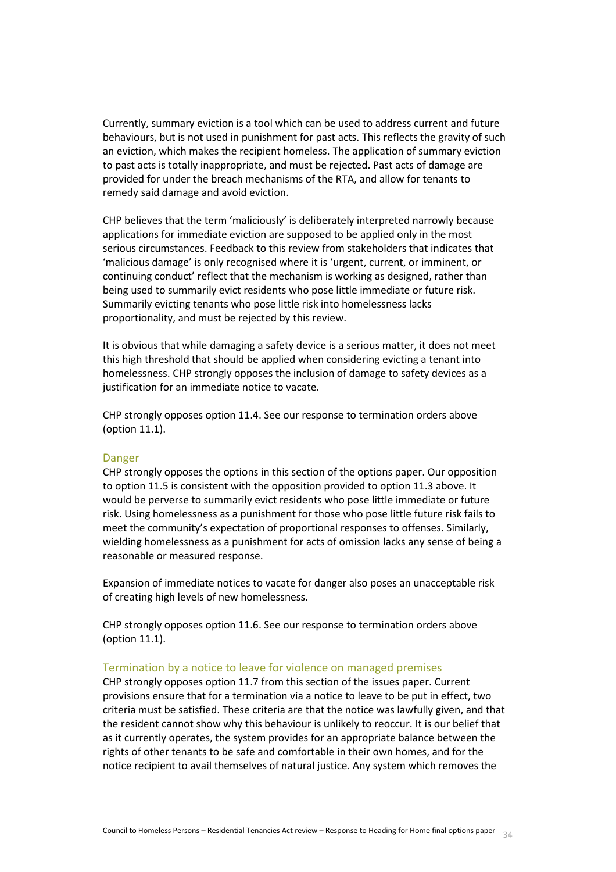Currently, summary eviction is a tool which can be used to address current and future behaviours, but is not used in punishment for past acts. This reflects the gravity of such an eviction, which makes the recipient homeless. The application of summary eviction to past acts is totally inappropriate, and must be rejected. Past acts of damage are provided for under the breach mechanisms of the RTA, and allow for tenants to remedy said damage and avoid eviction.

CHP believes that the term 'maliciously' is deliberately interpreted narrowly because applications for immediate eviction are supposed to be applied only in the most serious circumstances. Feedback to this review from stakeholders that indicates that 'malicious damage' is only recognised where it is 'urgent, current, or imminent, or continuing conduct' reflect that the mechanism is working as designed, rather than being used to summarily evict residents who pose little immediate or future risk. Summarily evicting tenants who pose little risk into homelessness lacks proportionality, and must be rejected by this review.

It is obvious that while damaging a safety device is a serious matter, it does not meet this high threshold that should be applied when considering evicting a tenant into homelessness. CHP strongly opposes the inclusion of damage to safety devices as a justification for an immediate notice to vacate.

CHP strongly opposes option 11.4. See our response to termination orders above (option 11.1).

#### Danger

CHP strongly opposes the options in this section of the options paper. Our opposition to option 11.5 is consistent with the opposition provided to option 11.3 above. It would be perverse to summarily evict residents who pose little immediate or future risk. Using homelessness as a punishment for those who pose little future risk fails to meet the community's expectation of proportional responses to offenses. Similarly, wielding homelessness as a punishment for acts of omission lacks any sense of being a reasonable or measured response.

Expansion of immediate notices to vacate for danger also poses an unacceptable risk of creating high levels of new homelessness.

CHP strongly opposes option 11.6. See our response to termination orders above (option 11.1).

#### Termination by a notice to leave for violence on managed premises

CHP strongly opposes option 11.7 from this section of the issues paper. Current provisions ensure that for a termination via a notice to leave to be put in effect, two criteria must be satisfied. These criteria are that the notice was lawfully given, and that the resident cannot show why this behaviour is unlikely to reoccur. It is our belief that as it currently operates, the system provides for an appropriate balance between the rights of other tenants to be safe and comfortable in their own homes, and for the notice recipient to avail themselves of natural justice. Any system which removes the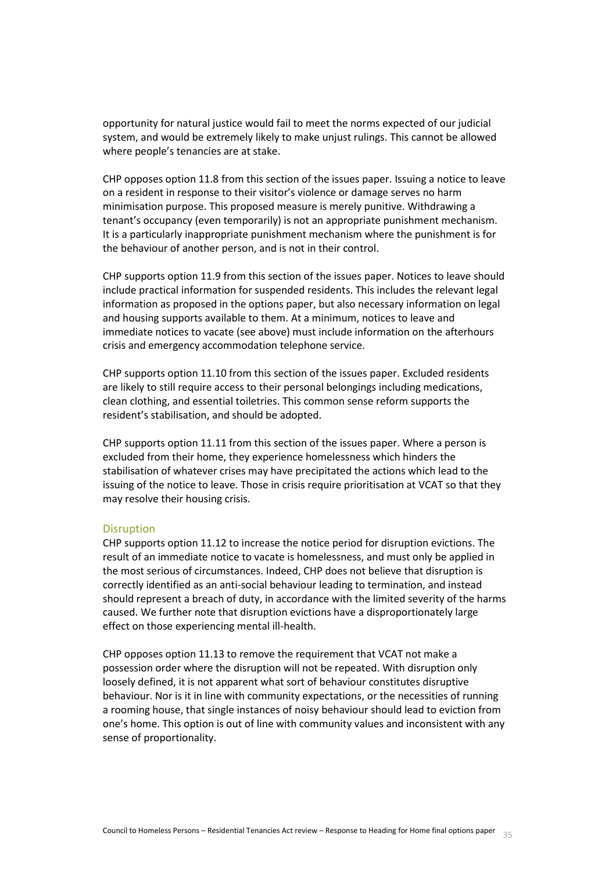opportunity for natural justice would fail to meet the norms expected of our judicial system, and would be extremely likely to make unjust rulings. This cannot be allowed where people's tenancies are at stake.

CHP opposes option 11.8 from this section of the issues paper. Issuing a notice to leave on a resident in response to their visitor's violence or damage serves no harm minimisation purpose. This proposed measure is merely punitive. Withdrawing a tenant's occupancy (even temporarily) is not an appropriate punishment mechanism. It is a particularly inappropriate punishment mechanism where the punishment is for the behaviour of another person, and is not in their control.

CHP supports option 11.9 from this section of the issues paper. Notices to leave should include practical information for suspended residents. This includes the relevant legal information as proposed in the options paper, but also necessary information on legal and housing supports available to them. At a minimum, notices to leave and immediate notices to vacate (see above) must include information on the afterhours crisis and emergency accommodation telephone service.

CHP supports option 11.10 from this section of the issues paper. Excluded residents are likely to still require access to their personal belongings including medications, clean clothing, and essential toiletries. This common sense reform supports the resident's stabilisation, and should be adopted.

CHP supports option 11.11 from this section of the issues paper. Where a person is excluded from their home, they experience homelessness which hinders the stabilisation of whatever crises may have precipitated the actions which lead to the issuing of the notice to leave. Those in crisis require prioritisation at VCAT so that they may resolve their housing crisis.

#### **Disruption**

CHP supports option 11.12 to increase the notice period for disruption evictions. The result of an immediate notice to vacate is homelessness, and must only be applied in the most serious of circumstances. Indeed, CHP does not believe that disruption is correctly identified as an anti-social behaviour leading to termination, and instead should represent a breach of duty, in accordance with the limited severity of the harms caused. We further note that disruption evictions have a disproportionately large effect on those experiencing mental ill-health.

CHP opposes option 11.13 to remove the requirement that VCAT not make a possession order where the disruption will not be repeated. With disruption only loosely defined, it is not apparent what sort of behaviour constitutes disruptive behaviour. Nor is it in line with community expectations, or the necessities of running a rooming house, that single instances of noisy behaviour should lead to eviction from one's home. This option is out of line with community values and inconsistent with any sense of proportionality.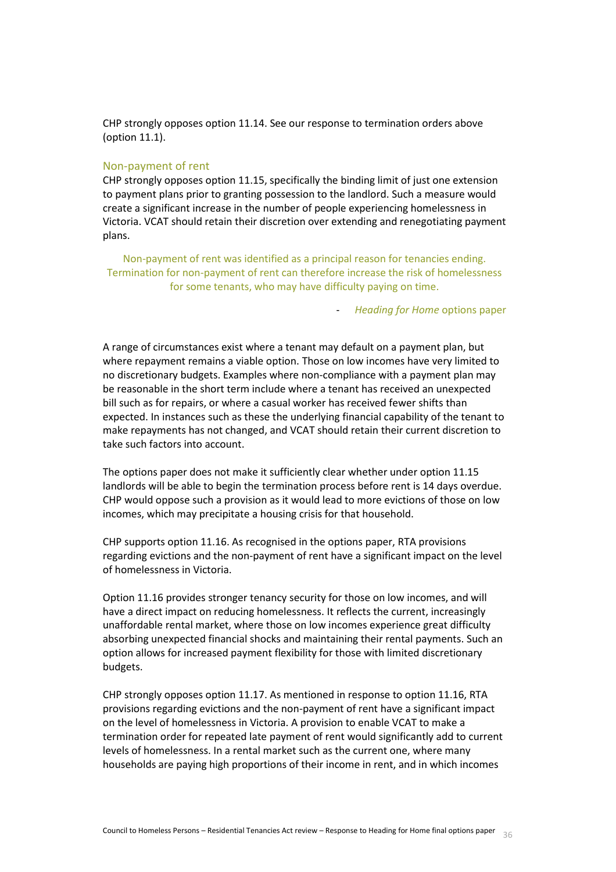CHP strongly opposes option 11.14. See our response to termination orders above (option 11.1).

#### Non-payment of rent

CHP strongly opposes option 11.15, specifically the binding limit of just one extension to payment plans prior to granting possession to the landlord. Such a measure would create a significant increase in the number of people experiencing homelessness in Victoria. VCAT should retain their discretion over extending and renegotiating payment plans.

Non-payment of rent was identified as a principal reason for tenancies ending. Termination for non-payment of rent can therefore increase the risk of homelessness for some tenants, who may have difficulty paying on time.

- *Heading for Home* options paper

A range of circumstances exist where a tenant may default on a payment plan, but where repayment remains a viable option. Those on low incomes have very limited to no discretionary budgets. Examples where non-compliance with a payment plan may be reasonable in the short term include where a tenant has received an unexpected bill such as for repairs, or where a casual worker has received fewer shifts than expected. In instances such as these the underlying financial capability of the tenant to make repayments has not changed, and VCAT should retain their current discretion to take such factors into account.

The options paper does not make it sufficiently clear whether under option 11.15 landlords will be able to begin the termination process before rent is 14 days overdue. CHP would oppose such a provision as it would lead to more evictions of those on low incomes, which may precipitate a housing crisis for that household.

CHP supports option 11.16. As recognised in the options paper, RTA provisions regarding evictions and the non-payment of rent have a significant impact on the level of homelessness in Victoria.

Option 11.16 provides stronger tenancy security for those on low incomes, and will have a direct impact on reducing homelessness. It reflects the current, increasingly unaffordable rental market, where those on low incomes experience great difficulty absorbing unexpected financial shocks and maintaining their rental payments. Such an option allows for increased payment flexibility for those with limited discretionary budgets.

CHP strongly opposes option 11.17. As mentioned in response to option 11.16, RTA provisions regarding evictions and the non-payment of rent have a significant impact on the level of homelessness in Victoria. A provision to enable VCAT to make a termination order for repeated late payment of rent would significantly add to current levels of homelessness. In a rental market such as the current one, where many households are paying high proportions of their income in rent, and in which incomes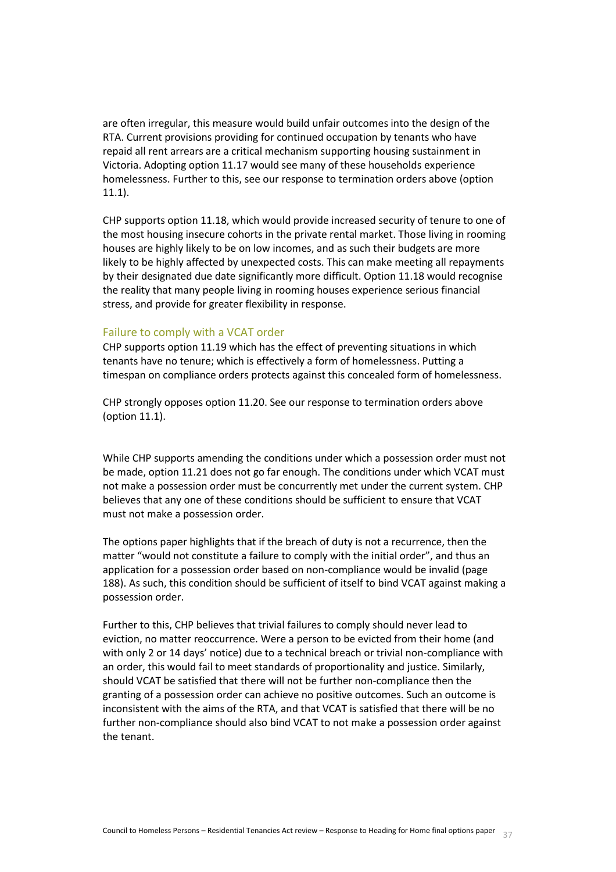are often irregular, this measure would build unfair outcomes into the design of the RTA. Current provisions providing for continued occupation by tenants who have repaid all rent arrears are a critical mechanism supporting housing sustainment in Victoria. Adopting option 11.17 would see many of these households experience homelessness. Further to this, see our response to termination orders above (option 11.1).

CHP supports option 11.18, which would provide increased security of tenure to one of the most housing insecure cohorts in the private rental market. Those living in rooming houses are highly likely to be on low incomes, and as such their budgets are more likely to be highly affected by unexpected costs. This can make meeting all repayments by their designated due date significantly more difficult. Option 11.18 would recognise the reality that many people living in rooming houses experience serious financial stress, and provide for greater flexibility in response.

#### Failure to comply with a VCAT order

CHP supports option 11.19 which has the effect of preventing situations in which tenants have no tenure; which is effectively a form of homelessness. Putting a timespan on compliance orders protects against this concealed form of homelessness.

CHP strongly opposes option 11.20. See our response to termination orders above (option 11.1).

While CHP supports amending the conditions under which a possession order must not be made, option 11.21 does not go far enough. The conditions under which VCAT must not make a possession order must be concurrently met under the current system. CHP believes that any one of these conditions should be sufficient to ensure that VCAT must not make a possession order.

The options paper highlights that if the breach of duty is not a recurrence, then the matter "would not constitute a failure to comply with the initial order", and thus an application for a possession order based on non-compliance would be invalid (page 188). As such, this condition should be sufficient of itself to bind VCAT against making a possession order.

Further to this, CHP believes that trivial failures to comply should never lead to eviction, no matter reoccurrence. Were a person to be evicted from their home (and with only 2 or 14 days' notice) due to a technical breach or trivial non-compliance with an order, this would fail to meet standards of proportionality and justice. Similarly, should VCAT be satisfied that there will not be further non-compliance then the granting of a possession order can achieve no positive outcomes. Such an outcome is inconsistent with the aims of the RTA, and that VCAT is satisfied that there will be no further non-compliance should also bind VCAT to not make a possession order against the tenant.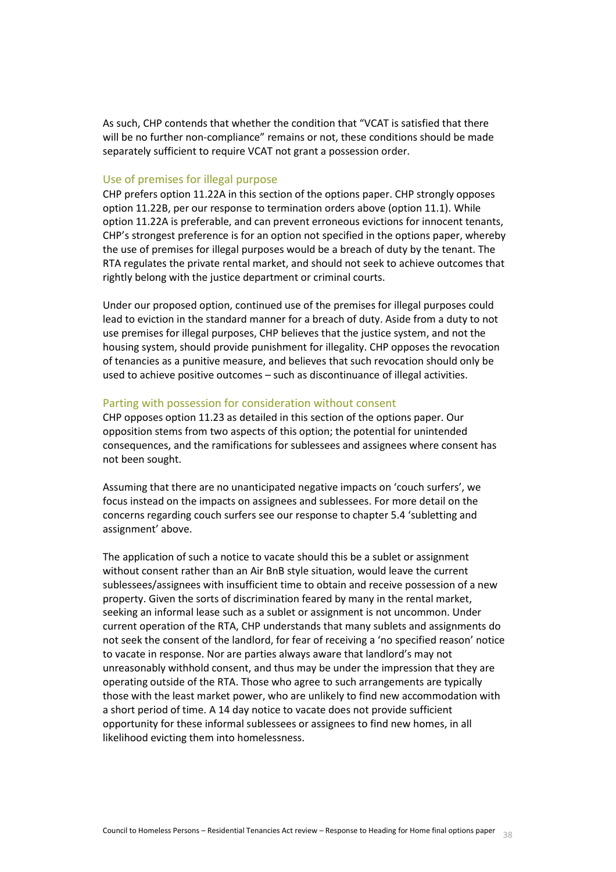As such, CHP contends that whether the condition that "VCAT is satisfied that there will be no further non-compliance" remains or not, these conditions should be made separately sufficient to require VCAT not grant a possession order.

#### Use of premises for illegal purpose

CHP prefers option 11.22A in this section of the options paper. CHP strongly opposes option 11.22B, per our response to termination orders above (option 11.1). While option 11.22A is preferable, and can prevent erroneous evictions for innocent tenants, CHP's strongest preference is for an option not specified in the options paper, whereby the use of premises for illegal purposes would be a breach of duty by the tenant. The RTA regulates the private rental market, and should not seek to achieve outcomes that rightly belong with the justice department or criminal courts.

Under our proposed option, continued use of the premises for illegal purposes could lead to eviction in the standard manner for a breach of duty. Aside from a duty to not use premises for illegal purposes, CHP believes that the justice system, and not the housing system, should provide punishment for illegality. CHP opposes the revocation of tenancies as a punitive measure, and believes that such revocation should only be used to achieve positive outcomes – such as discontinuance of illegal activities.

#### Parting with possession for consideration without consent

CHP opposes option 11.23 as detailed in this section of the options paper. Our opposition stems from two aspects of this option; the potential for unintended consequences, and the ramifications for sublessees and assignees where consent has not been sought.

Assuming that there are no unanticipated negative impacts on 'couch surfers', we focus instead on the impacts on assignees and sublessees. For more detail on the concerns regarding couch surfers see our response to chapter 5.4 'subletting and assignment' above.

The application of such a notice to vacate should this be a sublet or assignment without consent rather than an Air BnB style situation, would leave the current sublessees/assignees with insufficient time to obtain and receive possession of a new property. Given the sorts of discrimination feared by many in the rental market, seeking an informal lease such as a sublet or assignment is not uncommon. Under current operation of the RTA, CHP understands that many sublets and assignments do not seek the consent of the landlord, for fear of receiving a 'no specified reason' notice to vacate in response. Nor are parties always aware that landlord's may not unreasonably withhold consent, and thus may be under the impression that they are operating outside of the RTA. Those who agree to such arrangements are typically those with the least market power, who are unlikely to find new accommodation with a short period of time. A 14 day notice to vacate does not provide sufficient opportunity for these informal sublessees or assignees to find new homes, in all likelihood evicting them into homelessness.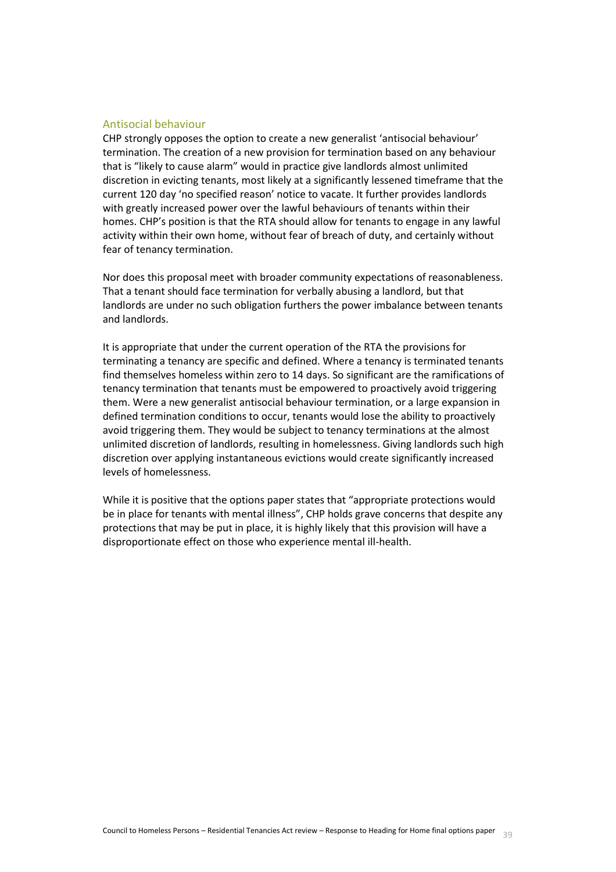## Antisocial behaviour

CHP strongly opposes the option to create a new generalist 'antisocial behaviour' termination. The creation of a new provision for termination based on any behaviour that is "likely to cause alarm" would in practice give landlords almost unlimited discretion in evicting tenants, most likely at a significantly lessened timeframe that the current 120 day 'no specified reason' notice to vacate. It further provides landlords with greatly increased power over the lawful behaviours of tenants within their homes. CHP's position is that the RTA should allow for tenants to engage in any lawful activity within their own home, without fear of breach of duty, and certainly without fear of tenancy termination.

Nor does this proposal meet with broader community expectations of reasonableness. That a tenant should face termination for verbally abusing a landlord, but that landlords are under no such obligation furthers the power imbalance between tenants and landlords.

It is appropriate that under the current operation of the RTA the provisions for terminating a tenancy are specific and defined. Where a tenancy is terminated tenants find themselves homeless within zero to 14 days. So significant are the ramifications of tenancy termination that tenants must be empowered to proactively avoid triggering them. Were a new generalist antisocial behaviour termination, or a large expansion in defined termination conditions to occur, tenants would lose the ability to proactively avoid triggering them. They would be subject to tenancy terminations at the almost unlimited discretion of landlords, resulting in homelessness. Giving landlords such high discretion over applying instantaneous evictions would create significantly increased levels of homelessness.

<span id="page-38-0"></span>While it is positive that the options paper states that "appropriate protections would be in place for tenants with mental illness", CHP holds grave concerns that despite any protections that may be put in place, it is highly likely that this provision will have a disproportionate effect on those who experience mental ill-health.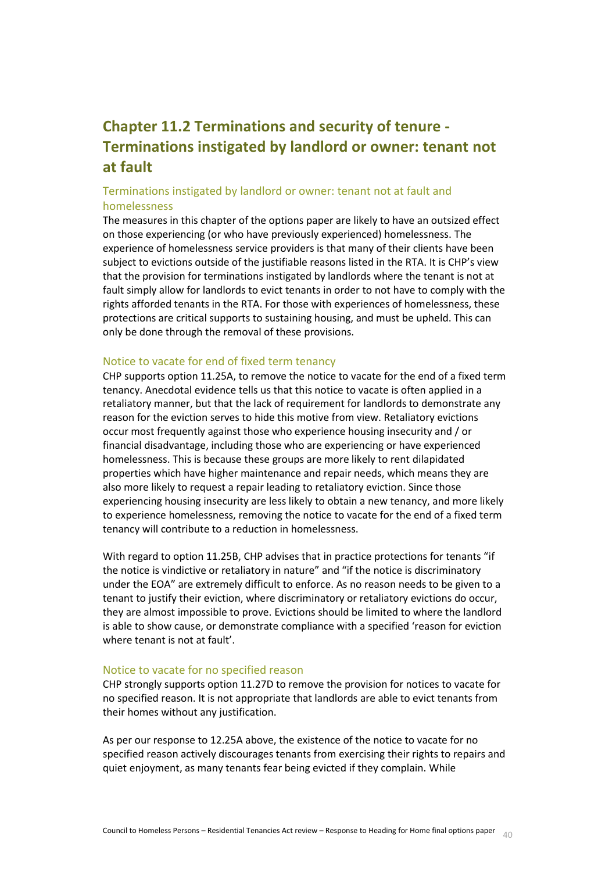# **Chapter 11.2 Terminations and security of tenure - Terminations instigated by landlord or owner: tenant not at fault**

# Terminations instigated by landlord or owner: tenant not at fault and homelessness

The measures in this chapter of the options paper are likely to have an outsized effect on those experiencing (or who have previously experienced) homelessness. The experience of homelessness service providers is that many of their clients have been subject to evictions outside of the justifiable reasons listed in the RTA. It is CHP's view that the provision for terminations instigated by landlords where the tenant is not at fault simply allow for landlords to evict tenants in order to not have to comply with the rights afforded tenants in the RTA. For those with experiences of homelessness, these protections are critical supports to sustaining housing, and must be upheld. This can only be done through the removal of these provisions.

## Notice to vacate for end of fixed term tenancy

CHP supports option 11.25A, to remove the notice to vacate for the end of a fixed term tenancy. Anecdotal evidence tells us that this notice to vacate is often applied in a retaliatory manner, but that the lack of requirement for landlords to demonstrate any reason for the eviction serves to hide this motive from view. Retaliatory evictions occur most frequently against those who experience housing insecurity and / or financial disadvantage, including those who are experiencing or have experienced homelessness. This is because these groups are more likely to rent dilapidated properties which have higher maintenance and repair needs, which means they are also more likely to request a repair leading to retaliatory eviction. Since those experiencing housing insecurity are less likely to obtain a new tenancy, and more likely to experience homelessness, removing the notice to vacate for the end of a fixed term tenancy will contribute to a reduction in homelessness.

With regard to option 11.25B, CHP advises that in practice protections for tenants "if the notice is vindictive or retaliatory in nature" and "if the notice is discriminatory under the EOA" are extremely difficult to enforce. As no reason needs to be given to a tenant to justify their eviction, where discriminatory or retaliatory evictions do occur, they are almost impossible to prove. Evictions should be limited to where the landlord is able to show cause, or demonstrate compliance with a specified 'reason for eviction where tenant is not at fault'.

#### Notice to vacate for no specified reason

CHP strongly supports option 11.27D to remove the provision for notices to vacate for no specified reason. It is not appropriate that landlords are able to evict tenants from their homes without any justification.

As per our response to 12.25A above, the existence of the notice to vacate for no specified reason actively discourages tenants from exercising their rights to repairs and quiet enjoyment, as many tenants fear being evicted if they complain. While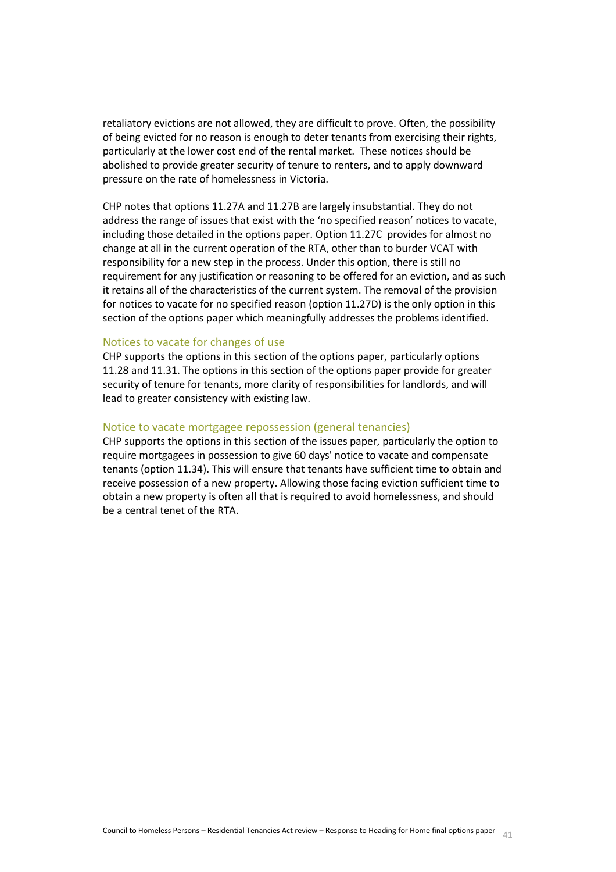retaliatory evictions are not allowed, they are difficult to prove. Often, the possibility of being evicted for no reason is enough to deter tenants from exercising their rights, particularly at the lower cost end of the rental market. These notices should be abolished to provide greater security of tenure to renters, and to apply downward pressure on the rate of homelessness in Victoria.

CHP notes that options 11.27A and 11.27B are largely insubstantial. They do not address the range of issues that exist with the 'no specified reason' notices to vacate, including those detailed in the options paper. Option 11.27C provides for almost no change at all in the current operation of the RTA, other than to burder VCAT with responsibility for a new step in the process. Under this option, there is still no requirement for any justification or reasoning to be offered for an eviction, and as such it retains all of the characteristics of the current system. The removal of the provision for notices to vacate for no specified reason (option 11.27D) is the only option in this section of the options paper which meaningfully addresses the problems identified.

#### Notices to vacate for changes of use

CHP supports the options in this section of the options paper, particularly options 11.28 and 11.31. The options in this section of the options paper provide for greater security of tenure for tenants, more clarity of responsibilities for landlords, and will lead to greater consistency with existing law.

#### Notice to vacate mortgagee repossession (general tenancies)

<span id="page-40-0"></span>CHP supports the options in this section of the issues paper, particularly the option to require mortgagees in possession to give 60 days' notice to vacate and compensate tenants (option 11.34). This will ensure that tenants have sufficient time to obtain and receive possession of a new property. Allowing those facing eviction sufficient time to obtain a new property is often all that is required to avoid homelessness, and should be a central tenet of the RTA.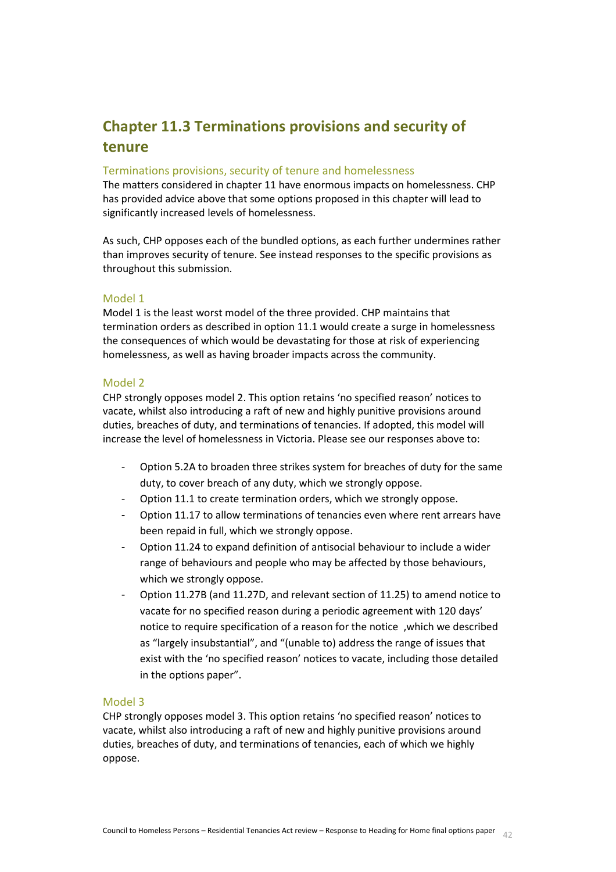# **Chapter 11.3 Terminations provisions and security of tenure**

# Terminations provisions, security of tenure and homelessness

The matters considered in chapter 11 have enormous impacts on homelessness. CHP has provided advice above that some options proposed in this chapter will lead to significantly increased levels of homelessness.

As such, CHP opposes each of the bundled options, as each further undermines rather than improves security of tenure. See instead responses to the specific provisions as throughout this submission.

## Model 1

Model 1 is the least worst model of the three provided. CHP maintains that termination orders as described in option 11.1 would create a surge in homelessness the consequences of which would be devastating for those at risk of experiencing homelessness, as well as having broader impacts across the community.

## Model 2

CHP strongly opposes model 2. This option retains 'no specified reason' notices to vacate, whilst also introducing a raft of new and highly punitive provisions around duties, breaches of duty, and terminations of tenancies. If adopted, this model will increase the level of homelessness in Victoria. Please see our responses above to:

- Option 5.2A to broaden three strikes system for breaches of duty for the same duty, to cover breach of any duty, which we strongly oppose.
- Option 11.1 to create termination orders, which we strongly oppose.
- Option 11.17 to allow terminations of tenancies even where rent arrears have been repaid in full, which we strongly oppose.
- Option 11.24 to expand definition of antisocial behaviour to include a wider range of behaviours and people who may be affected by those behaviours, which we strongly oppose.
- Option 11.27B (and 11.27D, and relevant section of 11.25) to amend notice to vacate for no specified reason during a periodic agreement with 120 days' notice to require specification of a reason for the notice ,which we described as "largely insubstantial", and "(unable to) address the range of issues that exist with the 'no specified reason' notices to vacate, including those detailed in the options paper".

## Model 3

CHP strongly opposes model 3. This option retains 'no specified reason' notices to vacate, whilst also introducing a raft of new and highly punitive provisions around duties, breaches of duty, and terminations of tenancies, each of which we highly oppose.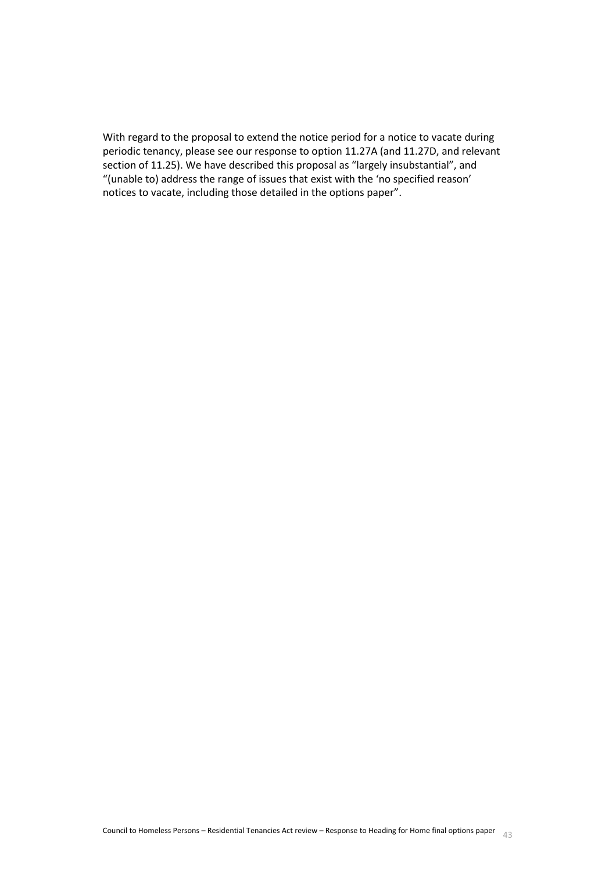<span id="page-42-0"></span>With regard to the proposal to extend the notice period for a notice to vacate during periodic tenancy, please see our response to option 11.27A (and 11.27D, and relevant section of 11.25). We have described this proposal as "largely insubstantial", and "(unable to) address the range of issues that exist with the 'no specified reason' notices to vacate, including those detailed in the options paper".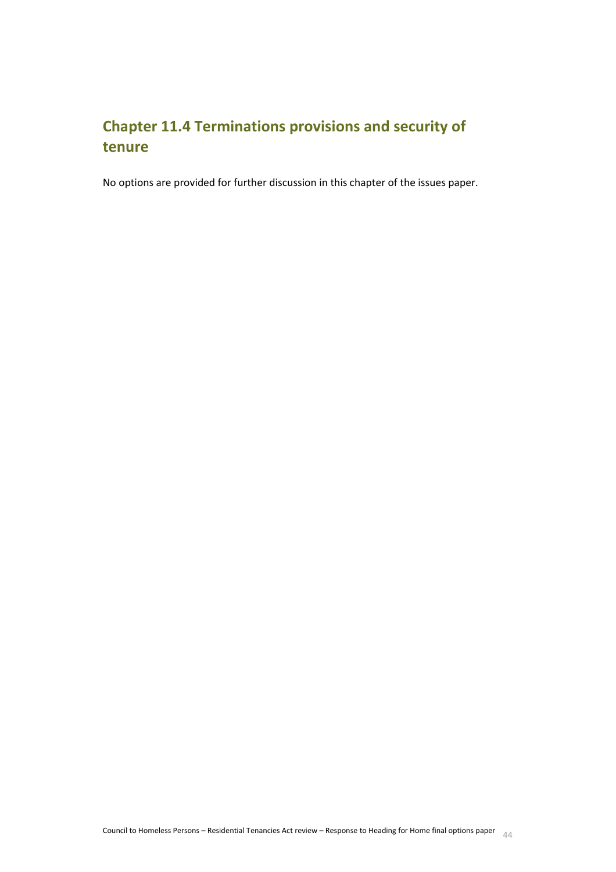# **Chapter 11.4 Terminations provisions and security of tenure**

<span id="page-43-0"></span>No options are provided for further discussion in this chapter of the issues paper.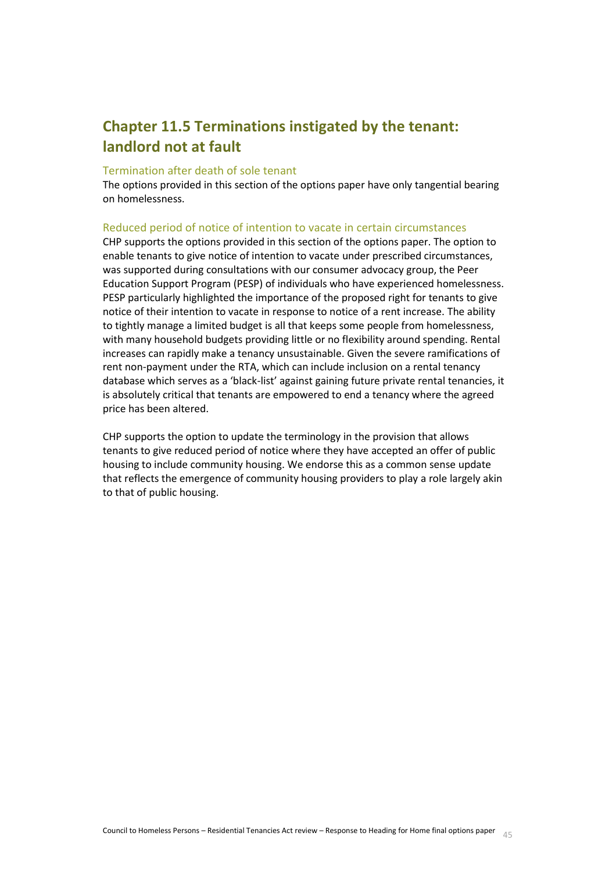# **Chapter 11.5 Terminations instigated by the tenant: landlord not at fault**

## Termination after death of sole tenant

The options provided in this section of the options paper have only tangential bearing on homelessness.

## Reduced period of notice of intention to vacate in certain circumstances

CHP supports the options provided in this section of the options paper. The option to enable tenants to give notice of intention to vacate under prescribed circumstances, was supported during consultations with our consumer advocacy group, the Peer Education Support Program (PESP) of individuals who have experienced homelessness. PESP particularly highlighted the importance of the proposed right for tenants to give notice of their intention to vacate in response to notice of a rent increase. The ability to tightly manage a limited budget is all that keeps some people from homelessness, with many household budgets providing little or no flexibility around spending. Rental increases can rapidly make a tenancy unsustainable. Given the severe ramifications of rent non-payment under the RTA, which can include inclusion on a rental tenancy database which serves as a 'black-list' against gaining future private rental tenancies, it is absolutely critical that tenants are empowered to end a tenancy where the agreed price has been altered.

<span id="page-44-0"></span>CHP supports the option to update the terminology in the provision that allows tenants to give reduced period of notice where they have accepted an offer of public housing to include community housing. We endorse this as a common sense update that reflects the emergence of community housing providers to play a role largely akin to that of public housing.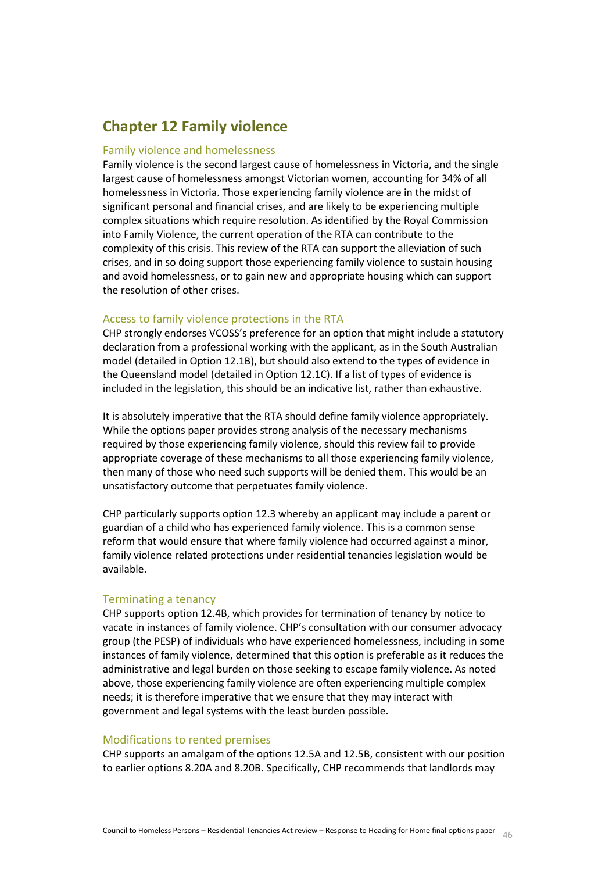# **Chapter 12 Family violence**

#### Family violence and homelessness

Family violence is the second largest cause of homelessness in Victoria, and the single largest cause of homelessness amongst Victorian women, accounting for 34% of all homelessness in Victoria. Those experiencing family violence are in the midst of significant personal and financial crises, and are likely to be experiencing multiple complex situations which require resolution. As identified by the Royal Commission into Family Violence, the current operation of the RTA can contribute to the complexity of this crisis. This review of the RTA can support the alleviation of such crises, and in so doing support those experiencing family violence to sustain housing and avoid homelessness, or to gain new and appropriate housing which can support the resolution of other crises.

#### Access to family violence protections in the RTA

CHP strongly endorses VCOSS's preference for an option that might include a statutory declaration from a professional working with the applicant, as in the South Australian model (detailed in Option 12.1B), but should also extend to the types of evidence in the Queensland model (detailed in Option 12.1C). If a list of types of evidence is included in the legislation, this should be an indicative list, rather than exhaustive.

It is absolutely imperative that the RTA should define family violence appropriately. While the options paper provides strong analysis of the necessary mechanisms required by those experiencing family violence, should this review fail to provide appropriate coverage of these mechanisms to all those experiencing family violence, then many of those who need such supports will be denied them. This would be an unsatisfactory outcome that perpetuates family violence.

CHP particularly supports option 12.3 whereby an applicant may include a parent or guardian of a child who has experienced family violence. This is a common sense reform that would ensure that where family violence had occurred against a minor, family violence related protections under residential tenancies legislation would be available.

#### Terminating a tenancy

CHP supports option 12.4B, which provides for termination of tenancy by notice to vacate in instances of family violence. CHP's consultation with our consumer advocacy group (the PESP) of individuals who have experienced homelessness, including in some instances of family violence, determined that this option is preferable as it reduces the administrative and legal burden on those seeking to escape family violence. As noted above, those experiencing family violence are often experiencing multiple complex needs; it is therefore imperative that we ensure that they may interact with government and legal systems with the least burden possible.

#### Modifications to rented premises

CHP supports an amalgam of the options 12.5A and 12.5B, consistent with our position to earlier options 8.20A and 8.20B. Specifically, CHP recommends that landlords may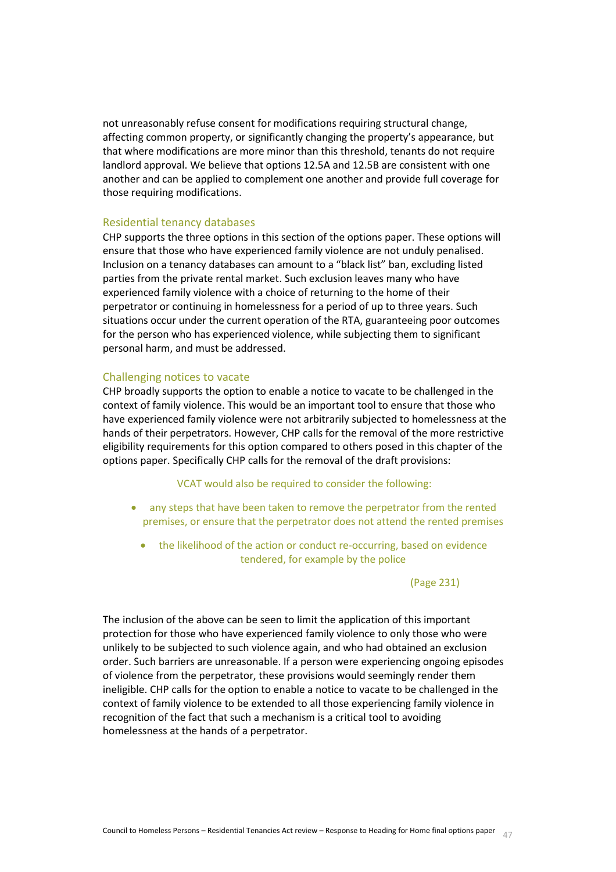not unreasonably refuse consent for modifications requiring structural change, affecting common property, or significantly changing the property's appearance, but that where modifications are more minor than this threshold, tenants do not require landlord approval. We believe that options 12.5A and 12.5B are consistent with one another and can be applied to complement one another and provide full coverage for those requiring modifications.

#### Residential tenancy databases

CHP supports the three options in this section of the options paper. These options will ensure that those who have experienced family violence are not unduly penalised. Inclusion on a tenancy databases can amount to a "black list" ban, excluding listed parties from the private rental market. Such exclusion leaves many who have experienced family violence with a choice of returning to the home of their perpetrator or continuing in homelessness for a period of up to three years. Such situations occur under the current operation of the RTA, guaranteeing poor outcomes for the person who has experienced violence, while subjecting them to significant personal harm, and must be addressed.

#### Challenging notices to vacate

CHP broadly supports the option to enable a notice to vacate to be challenged in the context of family violence. This would be an important tool to ensure that those who have experienced family violence were not arbitrarily subjected to homelessness at the hands of their perpetrators. However, CHP calls for the removal of the more restrictive eligibility requirements for this option compared to others posed in this chapter of the options paper. Specifically CHP calls for the removal of the draft provisions:

#### VCAT would also be required to consider the following:

- any steps that have been taken to remove the perpetrator from the rented premises, or ensure that the perpetrator does not attend the rented premises
	- the likelihood of the action or conduct re-occurring, based on evidence tendered, for example by the police

#### (Page 231)

The inclusion of the above can be seen to limit the application of this important protection for those who have experienced family violence to only those who were unlikely to be subjected to such violence again, and who had obtained an exclusion order. Such barriers are unreasonable. If a person were experiencing ongoing episodes of violence from the perpetrator, these provisions would seemingly render them ineligible. CHP calls for the option to enable a notice to vacate to be challenged in the context of family violence to be extended to all those experiencing family violence in recognition of the fact that such a mechanism is a critical tool to avoiding homelessness at the hands of a perpetrator.